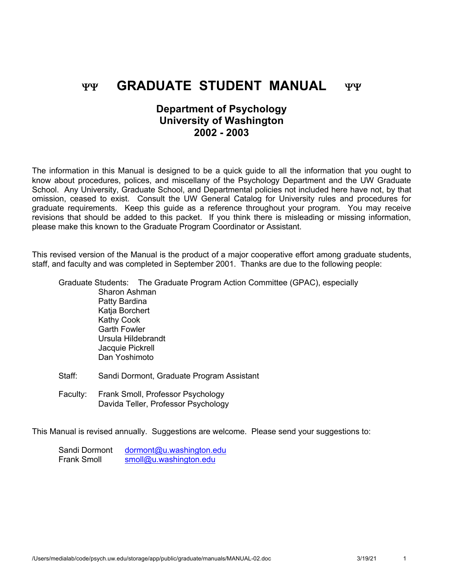# YY **GRADUATE STUDENT MANUAL** YY

# **Department of Psychology University of Washington 2002 - 2003**

The information in this Manual is designed to be a quick guide to all the information that you ought to know about procedures, polices, and miscellany of the Psychology Department and the UW Graduate School. Any University, Graduate School, and Departmental policies not included here have not, by that omission, ceased to exist. Consult the UW General Catalog for University rules and procedures for graduate requirements. Keep this guide as a reference throughout your program. You may receive revisions that should be added to this packet. If you think there is misleading or missing information, please make this known to the Graduate Program Coordinator or Assistant.

This revised version of the Manual is the product of a major cooperative effort among graduate students, staff, and faculty and was completed in September 2001. Thanks are due to the following people:

Graduate Students: The Graduate Program Action Committee (GPAC), especially Sharon Ashman Patty Bardina Katia Borchert Kathy Cook Garth Fowler Ursula Hildebrandt Jacquie Pickrell Dan Yoshimoto

- Staff: Sandi Dormont, Graduate Program Assistant
- Faculty: Frank Smoll, Professor Psychology Davida Teller, Professor Psychology

This Manual is revised annually. Suggestions are welcome. Please send your suggestions to:

| Sandi Dormont      | dormont@u.washington.edu |
|--------------------|--------------------------|
| <b>Frank Smoll</b> | smoll@u.washington.edu   |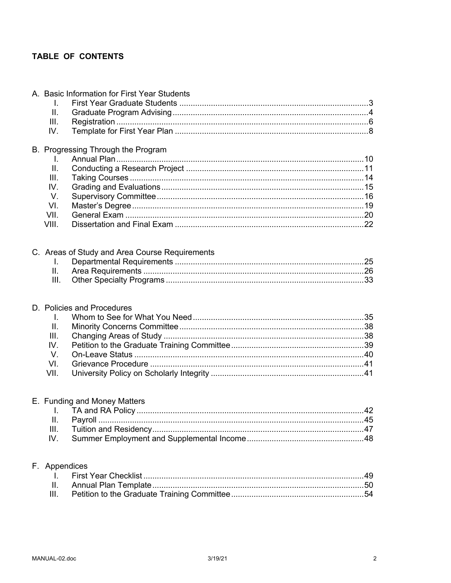# TABLE OF CONTENTS

|                 | A. Basic Information for First Year Students   |  |
|-----------------|------------------------------------------------|--|
| I.              |                                                |  |
| II.             |                                                |  |
| III.            |                                                |  |
| IV.             |                                                |  |
|                 | B. Progressing Through the Program             |  |
| I.              |                                                |  |
| II.             |                                                |  |
| III.            |                                                |  |
| IV.             |                                                |  |
| V.              |                                                |  |
| VI.             |                                                |  |
| VII.            |                                                |  |
| VIII.           |                                                |  |
|                 |                                                |  |
|                 | C. Areas of Study and Area Course Requirements |  |
| L.              |                                                |  |
| II.             |                                                |  |
| III.            |                                                |  |
|                 |                                                |  |
|                 | D. Policies and Procedures                     |  |
| I.              |                                                |  |
| $\mathbf{II}$ . |                                                |  |
| Ш.              |                                                |  |
| IV.             |                                                |  |
| $V_{\cdot}$     |                                                |  |
| VI.             |                                                |  |
| VII.            |                                                |  |
|                 |                                                |  |
|                 | E. Funding and Money Matters                   |  |
|                 |                                                |  |
| Ш.              |                                                |  |
| III.            |                                                |  |
| IV.             |                                                |  |
|                 | F. Appendices                                  |  |
| I.              |                                                |  |
| ΙΙ.             |                                                |  |
|                 |                                                |  |
| III.            |                                                |  |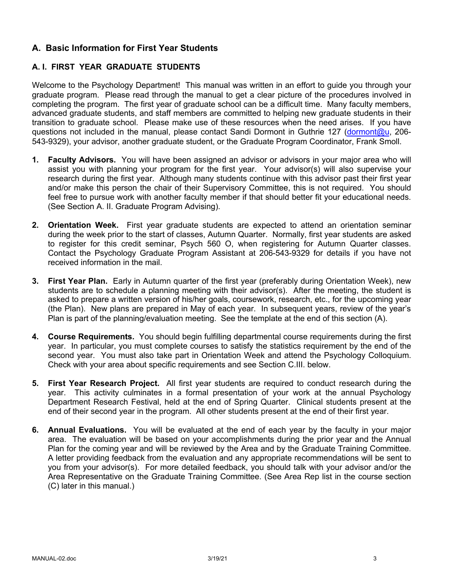# **A. Basic Information for First Year Students**

# **A. I. FIRST YEAR GRADUATE STUDENTS**

Welcome to the Psychology Department! This manual was written in an effort to guide you through your graduate program. Please read through the manual to get a clear picture of the procedures involved in completing the program. The first year of graduate school can be a difficult time. Many faculty members, advanced graduate students, and staff members are committed to helping new graduate students in their transition to graduate school. Please make use of these resources when the need arises. If you have questions not included in the manual, please contact Sandi Dormont in Guthrie 127 (dormont@u, 206- 543-9329), your advisor, another graduate student, or the Graduate Program Coordinator, Frank Smoll.

- **1. Faculty Advisors.** You will have been assigned an advisor or advisors in your major area who will assist you with planning your program for the first year. Your advisor(s) will also supervise your research during the first year. Although many students continue with this advisor past their first year and/or make this person the chair of their Supervisory Committee, this is not required. You should feel free to pursue work with another faculty member if that should better fit your educational needs. (See Section A. II. Graduate Program Advising).
- **2. Orientation Week.** First year graduate students are expected to attend an orientation seminar during the week prior to the start of classes, Autumn Quarter. Normally, first year students are asked to register for this credit seminar, Psych 560 O, when registering for Autumn Quarter classes. Contact the Psychology Graduate Program Assistant at 206-543-9329 for details if you have not received information in the mail.
- **3. First Year Plan.** Early in Autumn quarter of the first year (preferably during Orientation Week), new students are to schedule a planning meeting with their advisor(s). After the meeting, the student is asked to prepare a written version of his/her goals, coursework, research, etc., for the upcoming year (the Plan). New plans are prepared in May of each year. In subsequent years, review of the year's Plan is part of the planning/evaluation meeting. See the template at the end of this section (A).
- **4. Course Requirements.** You should begin fulfilling departmental course requirements during the first year. In particular, you must complete courses to satisfy the statistics requirement by the end of the second year. You must also take part in Orientation Week and attend the Psychology Colloquium. Check with your area about specific requirements and see Section C.III. below.
- **5. First Year Research Project.** All first year students are required to conduct research during the year. This activity culminates in a formal presentation of your work at the annual Psychology Department Research Festival, held at the end of Spring Quarter. Clinical students present at the end of their second year in the program. All other students present at the end of their first year.
- **6. Annual Evaluations.** You will be evaluated at the end of each year by the faculty in your major area. The evaluation will be based on your accomplishments during the prior year and the Annual Plan for the coming year and will be reviewed by the Area and by the Graduate Training Committee. A letter providing feedback from the evaluation and any appropriate recommendations will be sent to you from your advisor(s). For more detailed feedback, you should talk with your advisor and/or the Area Representative on the Graduate Training Committee. (See Area Rep list in the course section (C) later in this manual.)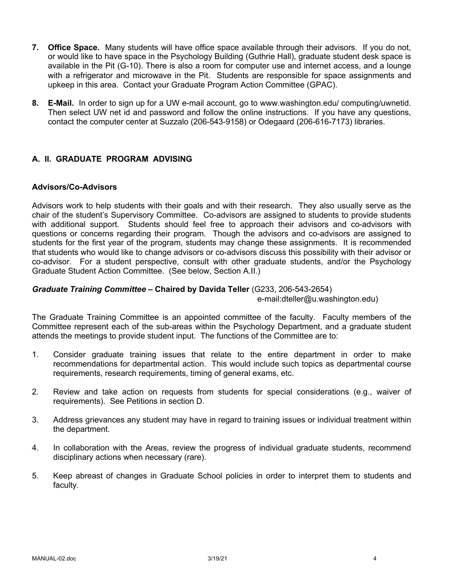- **7. Office Space.** Many students will have office space available through their advisors. If you do not, or would like to have space in the Psychology Building (Guthrie Hall), graduate student desk space is available in the Pit (G-10). There is also a room for computer use and internet access, and a lounge with a refrigerator and microwave in the Pit. Students are responsible for space assignments and upkeep in this area. Contact your Graduate Program Action Committee (GPAC).
- **8. E-Mail.** In order to sign up for a UW e-mail account, go to www.washington.edu/ computing/uwnetid. Then select UW net id and password and follow the online instructions. If you have any questions, contact the computer center at Suzzalo (206-543-9158) or Odegaard (206-616-7173) libraries.

# **A. II. GRADUATE PROGRAM ADVISING**

### **Advisors/Co-Advisors**

Advisors work to help students with their goals and with their research. They also usually serve as the chair of the student's Supervisory Committee. Co-advisors are assigned to students to provide students with additional support. Students should feel free to approach their advisors and co-advisors with questions or concerns regarding their program. Though the advisors and co-advisors are assigned to students for the first year of the program, students may change these assignments. It is recommended that students who would like to change advisors or co-advisors discuss this possibility with their advisor or co-advisor. For a student perspective, consult with other graduate students, and/or the Psychology Graduate Student Action Committee. (See below, Section A.II.)

### *Graduate Training Committee –* **Chaired by Davida Teller** (G233, 206-543-2654)

e-mail:dteller@u.washington.edu)

The Graduate Training Committee is an appointed committee of the faculty. Faculty members of the Committee represent each of the sub-areas within the Psychology Department, and a graduate student attends the meetings to provide student input. The functions of the Committee are to:

- 1. Consider graduate training issues that relate to the entire department in order to make recommendations for departmental action. This would include such topics as departmental course requirements, research requirements, timing of general exams, etc.
- 2. Review and take action on requests from students for special considerations (e.g., waiver of requirements). See Petitions in section D.
- 3. Address grievances any student may have in regard to training issues or individual treatment within the department.
- 4. In collaboration with the Areas, review the progress of individual graduate students, recommend disciplinary actions when necessary (rare).
- 5. Keep abreast of changes in Graduate School policies in order to interpret them to students and faculty.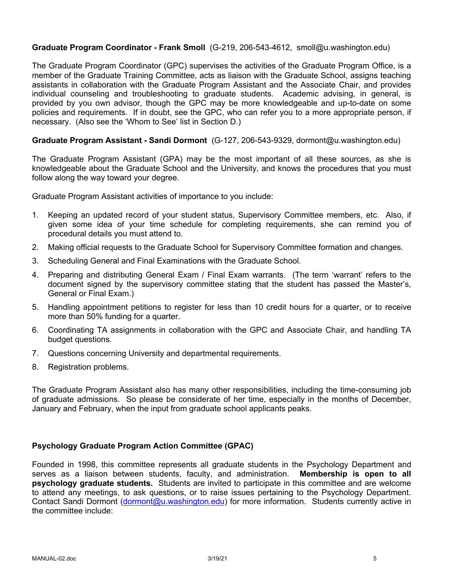# **Graduate Program Coordinator - Frank Smoll** (G-219, 206-543-4612, smoll@u.washington.edu)

The Graduate Program Coordinator (GPC) supervises the activities of the Graduate Program Office, is a member of the Graduate Training Committee, acts as liaison with the Graduate School, assigns teaching assistants in collaboration with the Graduate Program Assistant and the Associate Chair, and provides individual counseling and troubleshooting to graduate students. Academic advising, in general, is provided by you own advisor, though the GPC may be more knowledgeable and up-to-date on some policies and requirements. If in doubt, see the GPC, who can refer you to a more appropriate person, if necessary. (Also see the 'Whom to See' list in Section D.)

### **Graduate Program Assistant - Sandi Dormont** (G-127, 206-543-9329, dormont@u.washington.edu)

The Graduate Program Assistant (GPA) may be the most important of all these sources, as she is knowledgeable about the Graduate School and the University, and knows the procedures that you must follow along the way toward your degree.

Graduate Program Assistant activities of importance to you include:

- 1. Keeping an updated record of your student status, Supervisory Committee members, etc. Also, if given some idea of your time schedule for completing requirements, she can remind you of procedural details you must attend to.
- 2. Making official requests to the Graduate School for Supervisory Committee formation and changes.
- 3. Scheduling General and Final Examinations with the Graduate School.
- 4. Preparing and distributing General Exam / Final Exam warrants. (The term 'warrant' refers to the document signed by the supervisory committee stating that the student has passed the Master's, General or Final Exam.)
- 5. Handling appointment petitions to register for less than 10 credit hours for a quarter, or to receive more than 50% funding for a quarter.
- 6. Coordinating TA assignments in collaboration with the GPC and Associate Chair, and handling TA budget questions.
- 7. Questions concerning University and departmental requirements.
- 8. Registration problems.

The Graduate Program Assistant also has many other responsibilities, including the time-consuming job of graduate admissions. So please be considerate of her time, especially in the months of December, January and February, when the input from graduate school applicants peaks.

### **Psychology Graduate Program Action Committee (GPAC)**

Founded in 1998, this committee represents all graduate students in the Psychology Department and serves as a liaison between students, faculty, and administration. **Membership is open to all psychology graduate students.** Students are invited to participate in this committee and are welcome to attend any meetings, to ask questions, or to raise issues pertaining to the Psychology Department. Contact Sandi Dormont (dormont@u.washington.edu) for more information. Students currently active in the committee include: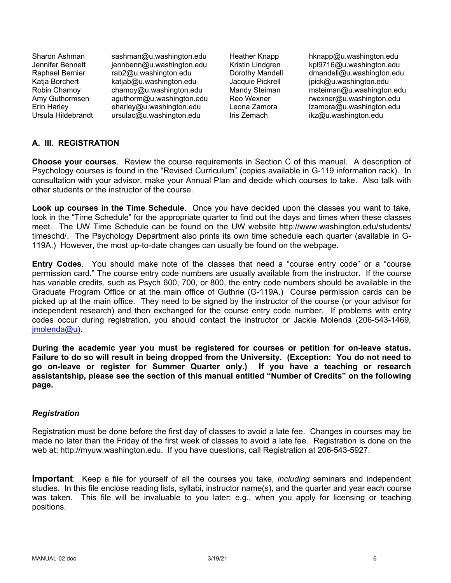Jennifer Bennett jennbenn@u.washington.edu Kristin Lindgren<br>Raphael Bernier rab2@u.washington.edu Dorothy Mandell Katja Borchert katjab@u.washington.edu Jacquie Pickrell jpick@u.washington.edu Ursula Hildebrandt ursulac@u.washington.edu Iris Zemach ikz@u.washington.edu

Sharon Ashman sashman@u.washington.edu Heather Knapp hknapp@u.washington.edu<br>Jennifer Bennett jennbenn@u.washington.edu Kristin Lindgren kpl9716@u.washington.edu  $d$ mandell $@u$ .washington.edu Robin Chamoy chamoy@u.washington.edu Mandy Steiman msteiman@u.washington.edu Amy Guthormsen aguthorm@u.washington.edu Reo Wexner rwexner@u.washington.edu Erin Harley eharley@u.washington.edu Leona Zamora lzamora@u.washington.edu

# **A. III. REGISTRATION**

**Choose your courses**. Review the course requirements in Section C of this manual. A description of Psychology courses is found in the "Revised Curriculum" (copies available in G-119 information rack). In consultation with your advisor, make your Annual Plan and decide which courses to take. Also talk with other students or the instructor of the course.

**Look up courses in the Time Schedule**. Once you have decided upon the classes you want to take, look in the "Time Schedule" for the appropriate quarter to find out the days and times when these classes meet. The UW Time Schedule can be found on the UW website http://www.washington.edu/students/ timeschd/. The Psychology Department also prints its own time schedule each quarter (available in G-119A.) However, the most up-to-date changes can usually be found on the webpage.

**Entry Codes**. You should make note of the classes that need a "course entry code" or a "course permission card." The course entry code numbers are usually available from the instructor. If the course has variable credits, such as Psych 600, 700, or 800, the entry code numbers should be available in the Graduate Program Office or at the main office of Guthrie (G-119A.) Course permission cards can be picked up at the main office. They need to be signed by the instructor of the course (or your advisor for independent research) and then exchanged for the course entry code number. If problems with entry codes occur during registration, you should contact the instructor or Jackie Molenda (206-543-1469, imolenda@u).

**During the academic year you must be registered for courses or petition for on-leave status. Failure to do so will result in being dropped from the University. (Exception: You do not need to go on-leave or register for Summer Quarter only.) If you have a teaching or research assistantship, please see the section of this manual entitled "Number of Credits" on the following page.**

# *Registration*

Registration must be done before the first day of classes to avoid a late fee. Changes in courses may be made no later than the Friday of the first week of classes to avoid a late fee. Registration is done on the web at: http://myuw.washington.edu. If you have questions, call Registration at 206-543-5927.

**Important**: Keep a file for yourself of all the courses you take, *including* seminars and independent studies. In this file enclose reading lists, syllabi, instructor name(s), and the quarter and year each course was taken. This file will be invaluable to you later; e.g., when you apply for licensing or teaching positions.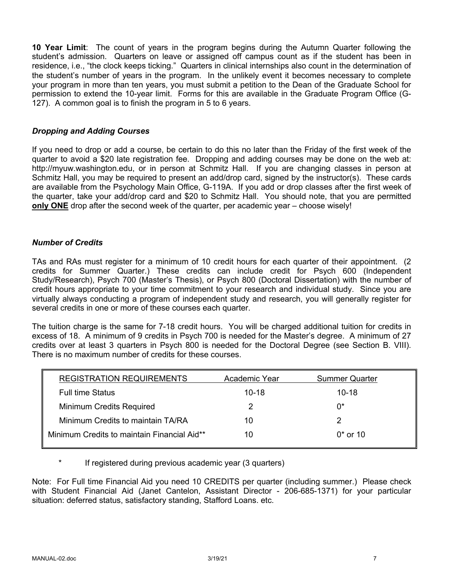**10 Year Limit**: The count of years in the program begins during the Autumn Quarter following the student's admission. Quarters on leave or assigned off campus count as if the student has been in residence, i.e., "the clock keeps ticking." Quarters in clinical internships also count in the determination of the student's number of years in the program. In the unlikely event it becomes necessary to complete your program in more than ten years, you must submit a petition to the Dean of the Graduate School for permission to extend the 10-year limit. Forms for this are available in the Graduate Program Office (G-127). A common goal is to finish the program in 5 to 6 years.

### *Dropping and Adding Courses*

If you need to drop or add a course, be certain to do this no later than the Friday of the first week of the quarter to avoid a \$20 late registration fee. Dropping and adding courses may be done on the web at: http://myuw.washington.edu, or in person at Schmitz Hall. If you are changing classes in person at Schmitz Hall, you may be required to present an add/drop card, signed by the instructor(s). These cards are available from the Psychology Main Office, G-119A. If you add or drop classes after the first week of the quarter, take your add/drop card and \$20 to Schmitz Hall. You should note, that you are permitted **only ONE** drop after the second week of the quarter, per academic year – choose wisely!

### *Number of Credits*

TAs and RAs must register for a minimum of 10 credit hours for each quarter of their appointment. (2 credits for Summer Quarter.) These credits can include credit for Psych 600 (Independent Study/Research), Psych 700 (Master's Thesis), or Psych 800 (Doctoral Dissertation) with the number of credit hours appropriate to your time commitment to your research and individual study. Since you are virtually always conducting a program of independent study and research, you will generally register for several credits in one or more of these courses each quarter.

The tuition charge is the same for 7-18 credit hours. You will be charged additional tuition for credits in excess of 18. A minimum of 9 credits in Psych 700 is needed for the Master's degree. A minimum of 27 credits over at least 3 quarters in Psych 800 is needed for the Doctoral Degree (see Section B. VIII). There is no maximum number of credits for these courses.

| <b>REGISTRATION REQUIREMENTS</b>            | Academic Year | <b>Summer Quarter</b> |
|---------------------------------------------|---------------|-----------------------|
| <b>Full time Status</b>                     | $10 - 18$     | $10 - 18$             |
| Minimum Credits Required                    |               | 0*                    |
| Minimum Credits to maintain TA/RA           | 10            |                       |
| Minimum Credits to maintain Financial Aid** | 10            | $0*$ or 10            |

If registered during previous academic year (3 quarters)

Note: For Full time Financial Aid you need 10 CREDITS per quarter (including summer.) Please check with Student Financial Aid (Janet Cantelon, Assistant Director - 206-685-1371) for your particular situation: deferred status, satisfactory standing, Stafford Loans. etc.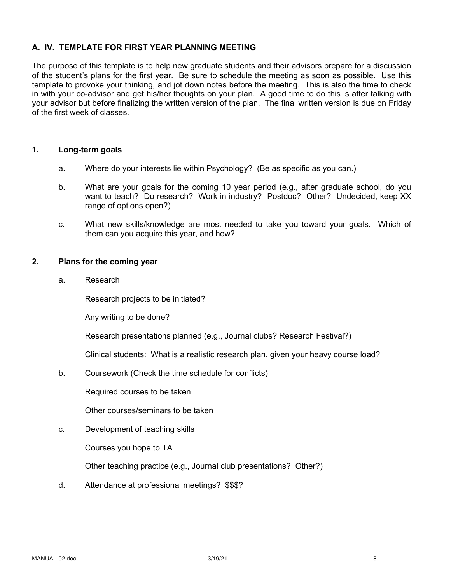# **A. IV. TEMPLATE FOR FIRST YEAR PLANNING MEETING**

The purpose of this template is to help new graduate students and their advisors prepare for a discussion of the student's plans for the first year. Be sure to schedule the meeting as soon as possible. Use this template to provoke your thinking, and jot down notes before the meeting. This is also the time to check in with your co-advisor and get his/her thoughts on your plan. A good time to do this is after talking with your advisor but before finalizing the written version of the plan. The final written version is due on Friday of the first week of classes.

### **1. Long-term goals**

- a. Where do your interests lie within Psychology? (Be as specific as you can.)
- b. What are your goals for the coming 10 year period (e.g., after graduate school, do you want to teach? Do research? Work in industry? Postdoc? Other? Undecided, keep XX range of options open?)
- c. What new skills/knowledge are most needed to take you toward your goals. Which of them can you acquire this year, and how?

### **2. Plans for the coming year**

a. Research

Research projects to be initiated?

Any writing to be done?

Research presentations planned (e.g., Journal clubs? Research Festival?)

Clinical students: What is a realistic research plan, given your heavy course load?

b. Coursework (Check the time schedule for conflicts)

Required courses to be taken

Other courses/seminars to be taken

### c. Development of teaching skills

Courses you hope to TA

Other teaching practice (e.g., Journal club presentations? Other?)

d. Attendance at professional meetings? \$\$\$?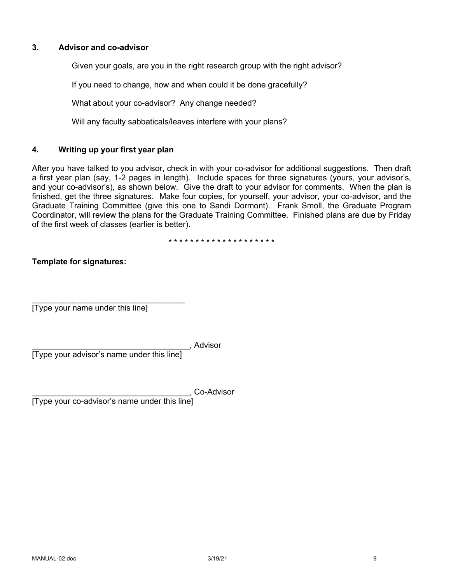### **3. Advisor and co-advisor**

Given your goals, are you in the right research group with the right advisor?

If you need to change, how and when could it be done gracefully?

What about your co-advisor? Any change needed?

Will any faculty sabbaticals/leaves interfere with your plans?

# **4. Writing up your first year plan**

After you have talked to you advisor, check in with your co-advisor for additional suggestions. Then draft a first year plan (say, 1-2 pages in length). Include spaces for three signatures (yours, your advisor's, and your co-advisor's), as shown below. Give the draft to your advisor for comments. When the plan is finished, get the three signatures. Make four copies, for yourself, your advisor, your co-advisor, and the Graduate Training Committee (give this one to Sandi Dormont). Frank Smoll, the Graduate Program Coordinator, will review the plans for the Graduate Training Committee. Finished plans are due by Friday of the first week of classes (earlier is better).

\* \* \* \* \* \* \* \* \* \* \* \* \* \* \* \* \* \* \* \*

### **Template for signatures:**

 $\mathcal{L}=\{1,2,3,4,5\}$ [Type your name under this line]

\_\_\_\_\_\_\_\_\_\_\_\_\_\_\_\_\_\_\_\_\_\_\_\_\_\_\_\_\_\_\_\_\_\_\_, Advisor

[Type your advisor's name under this line]

\_\_\_\_\_\_\_\_\_\_\_\_\_\_\_\_\_\_\_\_\_\_\_\_\_\_\_\_\_\_\_\_\_\_\_, Co-Advisor

[Type your co-advisor's name under this line]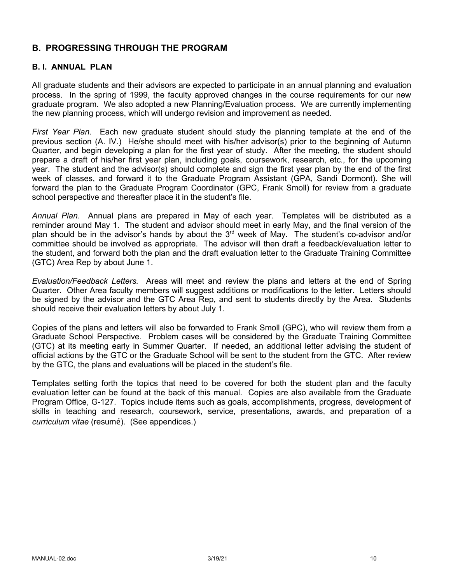# **B. PROGRESSING THROUGH THE PROGRAM**

# **B. I. ANNUAL PLAN**

All graduate students and their advisors are expected to participate in an annual planning and evaluation process. In the spring of 1999, the faculty approved changes in the course requirements for our new graduate program. We also adopted a new Planning/Evaluation process. We are currently implementing the new planning process, which will undergo revision and improvement as needed.

*First Year Plan*. Each new graduate student should study the planning template at the end of the previous section (A. IV.) He/she should meet with his/her advisor(s) prior to the beginning of Autumn Quarter, and begin developing a plan for the first year of study. After the meeting, the student should prepare a draft of his/her first year plan, including goals, coursework, research, etc., for the upcoming year. The student and the advisor(s) should complete and sign the first year plan by the end of the first week of classes, and forward it to the Graduate Program Assistant (GPA, Sandi Dormont). She will forward the plan to the Graduate Program Coordinator (GPC, Frank Smoll) for review from a graduate school perspective and thereafter place it in the student's file.

*Annual Plan*. Annual plans are prepared in May of each year. Templates will be distributed as a reminder around May 1. The student and advisor should meet in early May, and the final version of the plan should be in the advisor's hands by about the 3<sup>rd</sup> week of May. The student's co-advisor and/or committee should be involved as appropriate. The advisor will then draft a feedback/evaluation letter to the student, and forward both the plan and the draft evaluation letter to the Graduate Training Committee (GTC) Area Rep by about June 1.

*Evaluation/Feedback Letters.* Areas will meet and review the plans and letters at the end of Spring Quarter. Other Area faculty members will suggest additions or modifications to the letter. Letters should be signed by the advisor and the GTC Area Rep, and sent to students directly by the Area. Students should receive their evaluation letters by about July 1.

Copies of the plans and letters will also be forwarded to Frank Smoll (GPC), who will review them from a Graduate School Perspective. Problem cases will be considered by the Graduate Training Committee (GTC) at its meeting early in Summer Quarter. If needed, an additional letter advising the student of official actions by the GTC or the Graduate School will be sent to the student from the GTC. After review by the GTC, the plans and evaluations will be placed in the student's file.

Templates setting forth the topics that need to be covered for both the student plan and the faculty evaluation letter can be found at the back of this manual. Copies are also available from the Graduate Program Office, G-127. Topics include items such as goals, accomplishments, progress, development of skills in teaching and research, coursework, service, presentations, awards, and preparation of a *curriculum vitae* (resumé). (See appendices.)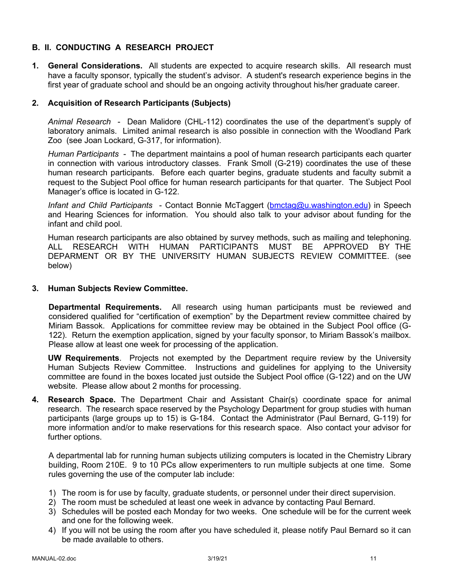# **B. II. CONDUCTING A RESEARCH PROJECT**

**1. General Considerations.** All students are expected to acquire research skills. All research must have a faculty sponsor, typically the student's advisor. A student's research experience begins in the first year of graduate school and should be an ongoing activity throughout his/her graduate career.

# **2. Acquisition of Research Participants (Subjects)**

*Animal Research* - Dean Malidore (CHL-112) coordinates the use of the department's supply of laboratory animals. Limited animal research is also possible in connection with the Woodland Park Zoo (see Joan Lockard, G-317, for information).

*Human Participants* - The department maintains a pool of human research participants each quarter in connection with various introductory classes. Frank Smoll (G-219) coordinates the use of these human research participants. Before each quarter begins, graduate students and faculty submit a request to the Subject Pool office for human research participants for that quarter. The Subject Pool Manager's office is located in G-122.

*Infant and Child Participants* - Contact Bonnie McTaggert (bmctag@u.washington.edu) in Speech and Hearing Sciences for information. You should also talk to your advisor about funding for the infant and child pool.

Human research participants are also obtained by survey methods, such as mailing and telephoning. ALL RESEARCH WITH HUMAN PARTICIPANTS MUST BE APPROVED BY THE DEPARMENT OR BY THE UNIVERSITY HUMAN SUBJECTS REVIEW COMMITTEE. (see below)

### **3. Human Subjects Review Committee.**

**Departmental Requirements.** All research using human participants must be reviewed and considered qualified for "certification of exemption" by the Department review committee chaired by Miriam Bassok. Applications for committee review may be obtained in the Subject Pool office (G-122). Return the exemption application, signed by your faculty sponsor, to Miriam Bassok's mailbox. Please allow at least one week for processing of the application.

**UW Requirements**. Projects not exempted by the Department require review by the University Human Subjects Review Committee. Instructions and guidelines for applying to the University committee are found in the boxes located just outside the Subject Pool office (G-122) and on the UW website. Please allow about 2 months for processing.

**4. Research Space.** The Department Chair and Assistant Chair(s) coordinate space for animal research. The research space reserved by the Psychology Department for group studies with human participants (large groups up to 15) is G-184. Contact the Administrator (Paul Bernard, G-119) for more information and/or to make reservations for this research space. Also contact your advisor for further options.

A departmental lab for running human subjects utilizing computers is located in the Chemistry Library building, Room 210E. 9 to 10 PCs allow experimenters to run multiple subjects at one time. Some rules governing the use of the computer lab include:

- 1) The room is for use by faculty, graduate students, or personnel under their direct supervision.
- 2) The room must be scheduled at least one week in advance by contacting Paul Bernard.
- 3) Schedules will be posted each Monday for two weeks. One schedule will be for the current week and one for the following week.
- 4) If you will not be using the room after you have scheduled it, please notify Paul Bernard so it can be made available to others.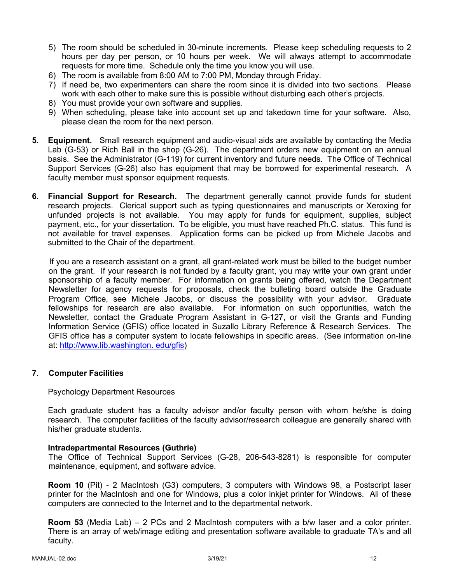- 5) The room should be scheduled in 30-minute increments. Please keep scheduling requests to 2 hours per day per person, or 10 hours per week. We will always attempt to accommodate requests for more time. Schedule only the time you know you will use.
- 6) The room is available from 8:00 AM to 7:00 PM, Monday through Friday.
- 7) If need be, two experimenters can share the room since it is divided into two sections. Please work with each other to make sure this is possible without disturbing each other's projects.
- 8) You must provide your own software and supplies.
- 9) When scheduling, please take into account set up and takedown time for your software. Also, please clean the room for the next person.
- **5. Equipment.** Small research equipment and audio-visual aids are available by contacting the Media Lab (G-53) or Rich Ball in the shop (G-26). The department orders new equipment on an annual basis. See the Administrator (G-119) for current inventory and future needs. The Office of Technical Support Services (G-26) also has equipment that may be borrowed for experimental research. A faculty member must sponsor equipment requests.
- **6. Financial Support for Research.** The department generally cannot provide funds for student research projects. Clerical support such as typing questionnaires and manuscripts or Xeroxing for unfunded projects is not available. You may apply for funds for equipment, supplies, subject payment, etc., for your dissertation. To be eligible, you must have reached Ph.C. status. This fund is not available for travel expenses. Application forms can be picked up from Michele Jacobs and submitted to the Chair of the department.

If you are a research assistant on a grant, all grant-related work must be billed to the budget number on the grant. If your research is not funded by a faculty grant, you may write your own grant under sponsorship of a faculty member. For information on grants being offered, watch the Department Newsletter for agency requests for proposals, check the bulleting board outside the Graduate Program Office, see Michele Jacobs, or discuss the possibility with your advisor. Graduate fellowships for research are also available. For information on such opportunities, watch the Newsletter, contact the Graduate Program Assistant in G-127, or visit the Grants and Funding Information Service (GFIS) office located in Suzallo Library Reference & Research Services. The GFIS office has a computer system to locate fellowships in specific areas. (See information on-line at: http://www.lib.washington. edu/gfis)

# **7. Computer Facilities**

### Psychology Department Resources

Each graduate student has a faculty advisor and/or faculty person with whom he/she is doing research. The computer facilities of the faculty advisor/research colleague are generally shared with his/her graduate students.

### **Intradepartmental Resources (Guthrie)**

The Office of Technical Support Services (G-28, 206-543-8281) is responsible for computer maintenance, equipment, and software advice.

**Room 10** (Pit) - 2 MacIntosh (G3) computers, 3 computers with Windows 98, a Postscript laser printer for the MacIntosh and one for Windows, plus a color inkjet printer for Windows. All of these computers are connected to the Internet and to the departmental network.

**Room 53** (Media Lab) – 2 PCs and 2 MacIntosh computers with a b/w laser and a color printer. There is an array of web/image editing and presentation software available to graduate TA's and all faculty.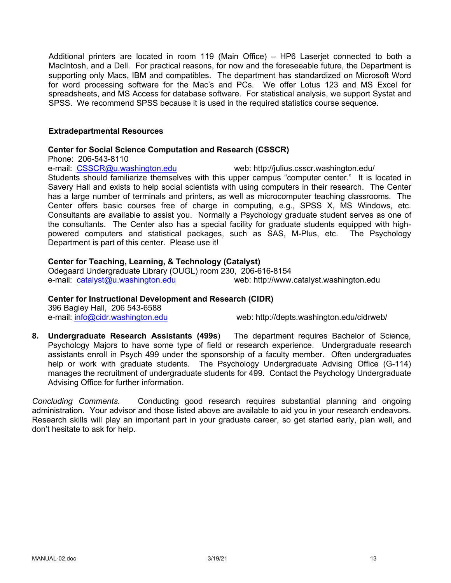Additional printers are located in room 119 (Main Office) – HP6 Laserjet connected to both a MacIntosh, and a Dell. For practical reasons, for now and the foreseeable future, the Department is supporting only Macs, IBM and compatibles. The department has standardized on Microsoft Word for word processing software for the Mac's and PCs. We offer Lotus 123 and MS Excel for spreadsheets, and MS Access for database software. For statistical analysis, we support Systat and SPSS. We recommend SPSS because it is used in the required statistics course sequence.

### **Extradepartmental Resources**

### **Center for Social Science Computation and Research (CSSCR)**

Phone: 206-543-8110

e-mail: CSSCR@u.washington.edu web: http://julius.csscr.washington.edu/

Students should familiarize themselves with this upper campus "computer center." It is located in Savery Hall and exists to help social scientists with using computers in their research. The Center has a large number of terminals and printers, as well as microcomputer teaching classrooms. The Center offers basic courses free of charge in computing, e.g., SPSS X, MS Windows, etc. Consultants are available to assist you. Normally a Psychology graduate student serves as one of the consultants. The Center also has a special facility for graduate students equipped with highpowered computers and statistical packages, such as SAS, M-Plus, etc. The Psychology Department is part of this center. Please use it!

### **Center for Teaching, Learning, & Technology (Catalyst)**

Odegaard Undergraduate Library (OUGL) room 230, 206-616-8154 e-mail: catalyst@u.washington.edu web: http://www.catalyst.washington.edu

# **Center for Instructional Development and Research (CIDR)**

396 Bagley Hall, 206 543-6588

e-mail: info@cidr.washington.edu web: http://depts.washington.edu/cidrweb/

**8. Undergraduate Research Assistants (499s**) The department requires Bachelor of Science, Psychology Majors to have some type of field or research experience. Undergraduate research assistants enroll in Psych 499 under the sponsorship of a faculty member. Often undergraduates help or work with graduate students. The Psychology Undergraduate Advising Office (G-114) manages the recruitment of undergraduate students for 499. Contact the Psychology Undergraduate Advising Office for further information.

*Concluding Comments*. Conducting good research requires substantial planning and ongoing administration. Your advisor and those listed above are available to aid you in your research endeavors. Research skills will play an important part in your graduate career, so get started early, plan well, and don't hesitate to ask for help.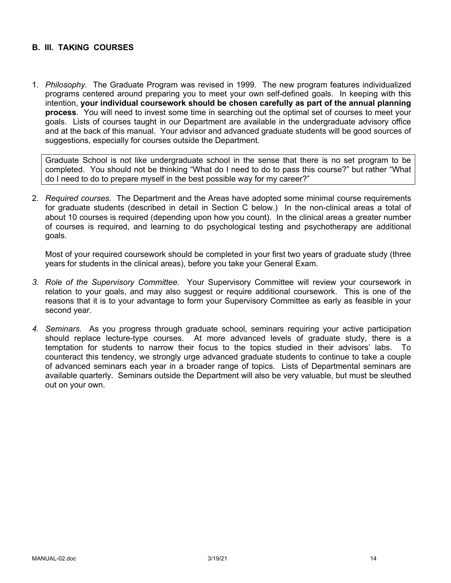### **B. III. TAKING COURSES**

1. *Philosophy.* The Graduate Program was revised in 1999. The new program features individualized programs centered around preparing you to meet your own self-defined goals. In keeping with this intention, **your individual coursework should be chosen carefully as part of the annual planning process**. You will need to invest some time in searching out the optimal set of courses to meet your goals. Lists of courses taught in our Department are available in the undergraduate advisory office and at the back of this manual. Your advisor and advanced graduate students will be good sources of suggestions, especially for courses outside the Department.

Graduate School is not like undergraduate school in the sense that there is no set program to be completed. You should not be thinking "What do I need to do to pass this course?" but rather "What do I need to do to prepare myself in the best possible way for my career?"

2. *Required courses.* The Department and the Areas have adopted some minimal course requirements for graduate students (described in detail in Section C below.) In the non-clinical areas a total of about 10 courses is required (depending upon how you count). In the clinical areas a greater number of courses is required, and learning to do psychological testing and psychotherapy are additional goals.

Most of your required coursework should be completed in your first two years of graduate study (three years for students in the clinical areas), before you take your General Exam.

- *3. Role of the Supervisory Committee.* Your Supervisory Committee will review your coursework in relation to your goals, and may also suggest or require additional coursework. This is one of the reasons that it is to your advantage to form your Supervisory Committee as early as feasible in your second year.
- *4. Seminars.* As you progress through graduate school, seminars requiring your active participation should replace lecture-type courses. At more advanced levels of graduate study, there is a temptation for students to narrow their focus to the topics studied in their advisors' labs. To counteract this tendency, we strongly urge advanced graduate students to continue to take a couple of advanced seminars each year in a broader range of topics. Lists of Departmental seminars are available quarterly. Seminars outside the Department will also be very valuable, but must be sleuthed out on your own.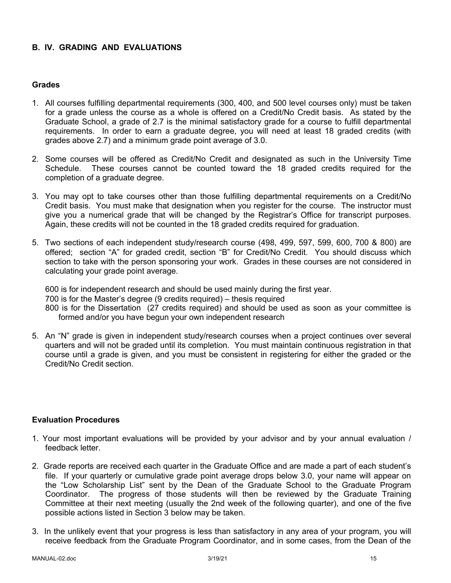# **B. IV. GRADING AND EVALUATIONS**

### **Grades**

- 1. All courses fulfilling departmental requirements (300, 400, and 500 level courses only) must be taken for a grade unless the course as a whole is offered on a Credit/No Credit basis. As stated by the Graduate School, a grade of 2.7 is the minimal satisfactory grade for a course to fulfill departmental requirements. In order to earn a graduate degree, you will need at least 18 graded credits (with grades above 2.7) and a minimum grade point average of 3.0.
- 2. Some courses will be offered as Credit/No Credit and designated as such in the University Time Schedule. These courses cannot be counted toward the 18 graded credits required for the completion of a graduate degree.
- 3. You may opt to take courses other than those fulfilling departmental requirements on a Credit/No Credit basis. You must make that designation when you register for the course. The instructor must give you a numerical grade that will be changed by the Registrar's Office for transcript purposes. Again, these credits will not be counted in the 18 graded credits required for graduation.
- 5. Two sections of each independent study/research course (498, 499, 597, 599, 600, 700 & 800) are offered; section "A" for graded credit, section "B" for Credit/No Credit. You should discuss which section to take with the person sponsoring your work. Grades in these courses are not considered in calculating your grade point average.

600 is for independent research and should be used mainly during the first year. 700 is for the Master's degree (9 credits required) – thesis required 800 is for the Dissertation (27 credits required) and should be used as soon as your committee is formed and/or you have begun your own independent research

5. An "N" grade is given in independent study/research courses when a project continues over several quarters and will not be graded until its completion. You must maintain continuous registration in that course until a grade is given, and you must be consistent in registering for either the graded or the Credit/No Credit section.

### **Evaluation Procedures**

- 1. Your most important evaluations will be provided by your advisor and by your annual evaluation / feedback letter.
- 2. Grade reports are received each quarter in the Graduate Office and are made a part of each student's file. If your quarterly or cumulative grade point average drops below 3.0, your name will appear on the "Low Scholarship List" sent by the Dean of the Graduate School to the Graduate Program Coordinator. The progress of those students will then be reviewed by the Graduate Training Committee at their next meeting (usually the 2nd week of the following quarter), and one of the five possible actions listed in Section 3 below may be taken.
- 3. In the unlikely event that your progress is less than satisfactory in any area of your program, you will receive feedback from the Graduate Program Coordinator, and in some cases, from the Dean of the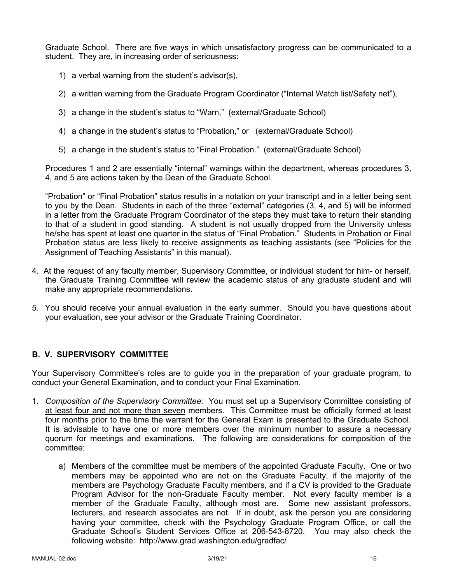Graduate School. There are five ways in which unsatisfactory progress can be communicated to a student. They are, in increasing order of seriousness:

- 1) a verbal warning from the student's advisor(s),
- 2) a written warning from the Graduate Program Coordinator ("Internal Watch list/Safety net"),
- 3) a change in the student's status to "Warn," (external/Graduate School)
- 4) a change in the student's status to "Probation," or (external/Graduate School)
- 5) a change in the student's status to "Final Probation." (external/Graduate School)

Procedures 1 and 2 are essentially "internal" warnings within the department, whereas procedures 3, 4, and 5 are actions taken by the Dean of the Graduate School.

"Probation" or "Final Probation" status results in a notation on your transcript and in a letter being sent to you by the Dean. Students in each of the three "external" categories (3, 4, and 5) will be informed in a letter from the Graduate Program Coordinator of the steps they must take to return their standing to that of a student in good standing. A student is not usually dropped from the University unless he/she has spent at least one quarter in the status of "Final Probation." Students in Probation or Final Probation status are less likely to receive assignments as teaching assistants (see "Policies for the Assignment of Teaching Assistants" in this manual).

- 4. At the request of any faculty member, Supervisory Committee, or individual student for him- or herself, the Graduate Training Committee will review the academic status of any graduate student and will make any appropriate recommendations.
- 5. You should receive your annual evaluation in the early summer. Should you have questions about your evaluation, see your advisor or the Graduate Training Coordinator.

# **B. V. SUPERVISORY COMMITTEE**

Your Supervisory Committee's roles are to guide you in the preparation of your graduate program, to conduct your General Examination, and to conduct your Final Examination.

- 1. *Composition of the Supervisory Committee*: You must set up a Supervisory Committee consisting of at least four and not more than seven members. This Committee must be officially formed at least four months prior to the time the warrant for the General Exam is presented to the Graduate School. It is advisable to have one or more members over the minimum number to assure a necessary quorum for meetings and examinations. The following are considerations for composition of the committee:
	- a) Members of the committee must be members of the appointed Graduate Faculty. One or two members may be appointed who are not on the Graduate Faculty, if the majority of the members are Psychology Graduate Faculty members, and if a CV is provided to the Graduate Program Advisor for the non-Graduate Faculty member. Not every faculty member is a member of the Graduate Faculty, although most are. Some new assistant professors, lecturers, and research associates are not. If in doubt, ask the person you are considering having your committee, check with the Psychology Graduate Program Office, or call the Graduate School's Student Services Office at 206-543-8720. You may also check the following website: http://www.grad.washington.edu/gradfac/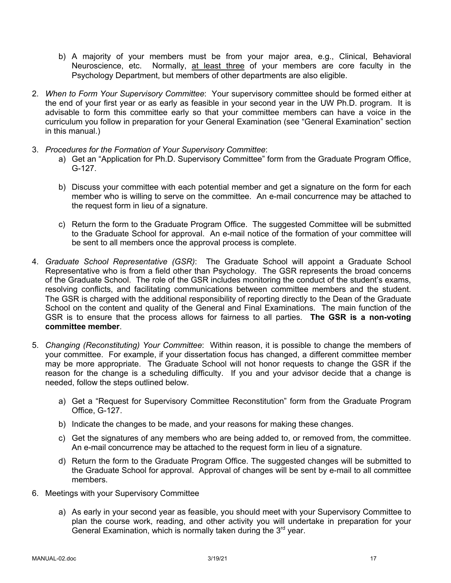- b) A majority of your members must be from your major area, e.g., Clinical, Behavioral Neuroscience, etc. Normally, at least three of your members are core faculty in the Psychology Department, but members of other departments are also eligible.
- 2. *When to Form Your Supervisory Committee*: Your supervisory committee should be formed either at the end of your first year or as early as feasible in your second year in the UW Ph.D. program. It is advisable to form this committee early so that your committee members can have a voice in the curriculum you follow in preparation for your General Examination (see "General Examination" section in this manual.)
- 3. *Procedures for the Formation of Your Supervisory Committee*:
	- a) Get an "Application for Ph.D. Supervisory Committee" form from the Graduate Program Office, G-127.
	- b) Discuss your committee with each potential member and get a signature on the form for each member who is willing to serve on the committee. An e-mail concurrence may be attached to the request form in lieu of a signature.
	- c) Return the form to the Graduate Program Office. The suggested Committee will be submitted to the Graduate School for approval. An e-mail notice of the formation of your committee will be sent to all members once the approval process is complete.
- 4. *Graduate School Representative (GSR)*: The Graduate School will appoint a Graduate School Representative who is from a field other than Psychology. The GSR represents the broad concerns of the Graduate School. The role of the GSR includes monitoring the conduct of the student's exams, resolving conflicts, and facilitating communications between committee members and the student. The GSR is charged with the additional responsibility of reporting directly to the Dean of the Graduate School on the content and quality of the General and Final Examinations. The main function of the GSR is to ensure that the process allows for fairness to all parties. **The GSR is a non-voting committee member**.
- 5. *Changing (Reconstituting) Your Committee*: Within reason, it is possible to change the members of your committee. For example, if your dissertation focus has changed, a different committee member may be more appropriate. The Graduate School will not honor requests to change the GSR if the reason for the change is a scheduling difficulty. If you and your advisor decide that a change is needed, follow the steps outlined below.
	- a) Get a "Request for Supervisory Committee Reconstitution" form from the Graduate Program Office, G-127.
	- b) Indicate the changes to be made, and your reasons for making these changes.
	- c) Get the signatures of any members who are being added to, or removed from, the committee. An e-mail concurrence may be attached to the request form in lieu of a signature.
	- d) Return the form to the Graduate Program Office. The suggested changes will be submitted to the Graduate School for approval. Approval of changes will be sent by e-mail to all committee members.
- 6. Meetings with your Supervisory Committee
	- a) As early in your second year as feasible, you should meet with your Supervisory Committee to plan the course work, reading, and other activity you will undertake in preparation for your General Examination, which is normally taken during the  $3<sup>rd</sup>$  year.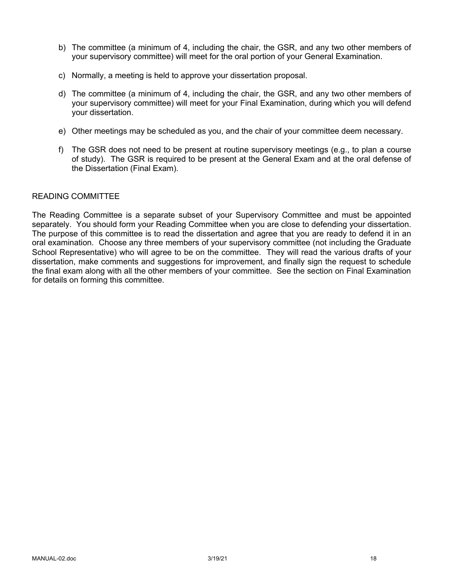- b) The committee (a minimum of 4, including the chair, the GSR, and any two other members of your supervisory committee) will meet for the oral portion of your General Examination.
- c) Normally, a meeting is held to approve your dissertation proposal.
- d) The committee (a minimum of 4, including the chair, the GSR, and any two other members of your supervisory committee) will meet for your Final Examination, during which you will defend your dissertation.
- e) Other meetings may be scheduled as you, and the chair of your committee deem necessary.
- f) The GSR does not need to be present at routine supervisory meetings (e.g., to plan a course of study). The GSR is required to be present at the General Exam and at the oral defense of the Dissertation (Final Exam).

### READING COMMITTEE

The Reading Committee is a separate subset of your Supervisory Committee and must be appointed separately. You should form your Reading Committee when you are close to defending your dissertation. The purpose of this committee is to read the dissertation and agree that you are ready to defend it in an oral examination. Choose any three members of your supervisory committee (not including the Graduate School Representative) who will agree to be on the committee. They will read the various drafts of your dissertation, make comments and suggestions for improvement, and finally sign the request to schedule the final exam along with all the other members of your committee. See the section on Final Examination for details on forming this committee.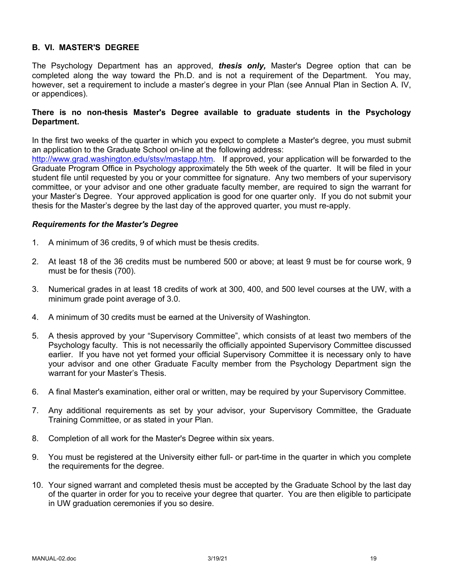# **B. VI. MASTER'S DEGREE**

The Psychology Department has an approved, *thesis only,* Master's Degree option that can be completed along the way toward the Ph.D. and is not a requirement of the Department. You may, however, set a requirement to include a master's degree in your Plan (see Annual Plan in Section A. IV, or appendices).

### **There is no non-thesis Master's Degree available to graduate students in the Psychology Department.**

In the first two weeks of the quarter in which you expect to complete a Master's degree, you must submit an application to the Graduate School on-line at the following address:

http://www.grad.washington.edu/stsv/mastapp.htm. If approved, your application will be forwarded to the Graduate Program Office in Psychology approximately the 5th week of the quarter. It will be filed in your student file until requested by you or your committee for signature. Any two members of your supervisory committee, or your advisor and one other graduate faculty member, are required to sign the warrant for your Master's Degree. Your approved application is good for one quarter only. If you do not submit your thesis for the Master's degree by the last day of the approved quarter, you must re-apply.

### *Requirements for the Master's Degree*

- 1. A minimum of 36 credits, 9 of which must be thesis credits.
- 2. At least 18 of the 36 credits must be numbered 500 or above; at least 9 must be for course work, 9 must be for thesis (700).
- 3. Numerical grades in at least 18 credits of work at 300, 400, and 500 level courses at the UW, with a minimum grade point average of 3.0.
- 4. A minimum of 30 credits must be earned at the University of Washington.
- 5. A thesis approved by your "Supervisory Committee", which consists of at least two members of the Psychology faculty. This is not necessarily the officially appointed Supervisory Committee discussed earlier. If you have not yet formed your official Supervisory Committee it is necessary only to have your advisor and one other Graduate Faculty member from the Psychology Department sign the warrant for your Master's Thesis.
- 6. A final Master's examination, either oral or written, may be required by your Supervisory Committee.
- 7. Any additional requirements as set by your advisor, your Supervisory Committee, the Graduate Training Committee, or as stated in your Plan.
- 8. Completion of all work for the Master's Degree within six years.
- 9. You must be registered at the University either full- or part-time in the quarter in which you complete the requirements for the degree.
- 10. Your signed warrant and completed thesis must be accepted by the Graduate School by the last day of the quarter in order for you to receive your degree that quarter. You are then eligible to participate in UW graduation ceremonies if you so desire.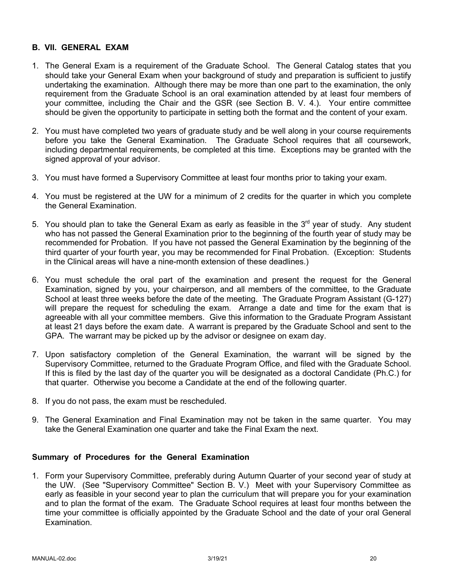### **B. VII. GENERAL EXAM**

- 1. The General Exam is a requirement of the Graduate School. The General Catalog states that you should take your General Exam when your background of study and preparation is sufficient to justify undertaking the examination. Although there may be more than one part to the examination, the only requirement from the Graduate School is an oral examination attended by at least four members of your committee, including the Chair and the GSR (see Section B. V. 4.). Your entire committee should be given the opportunity to participate in setting both the format and the content of your exam.
- 2. You must have completed two years of graduate study and be well along in your course requirements before you take the General Examination. The Graduate School requires that all coursework, including departmental requirements, be completed at this time. Exceptions may be granted with the signed approval of your advisor.
- 3. You must have formed a Supervisory Committee at least four months prior to taking your exam.
- 4. You must be registered at the UW for a minimum of 2 credits for the quarter in which you complete the General Examination.
- 5. You should plan to take the General Exam as early as feasible in the  $3<sup>rd</sup>$  year of study. Any student who has not passed the General Examination prior to the beginning of the fourth year of study may be recommended for Probation. If you have not passed the General Examination by the beginning of the third quarter of your fourth year, you may be recommended for Final Probation. (Exception: Students in the Clinical areas will have a nine-month extension of these deadlines.)
- 6. You must schedule the oral part of the examination and present the request for the General Examination, signed by you, your chairperson, and all members of the committee, to the Graduate School at least three weeks before the date of the meeting. The Graduate Program Assistant (G-127) will prepare the request for scheduling the exam. Arrange a date and time for the exam that is agreeable with all your committee members. Give this information to the Graduate Program Assistant at least 21 days before the exam date. A warrant is prepared by the Graduate School and sent to the GPA. The warrant may be picked up by the advisor or designee on exam day.
- 7. Upon satisfactory completion of the General Examination, the warrant will be signed by the Supervisory Committee, returned to the Graduate Program Office, and filed with the Graduate School. If this is filed by the last day of the quarter you will be designated as a doctoral Candidate (Ph.C.) for that quarter. Otherwise you become a Candidate at the end of the following quarter.
- 8. If you do not pass, the exam must be rescheduled.
- 9. The General Examination and Final Examination may not be taken in the same quarter. You may take the General Examination one quarter and take the Final Exam the next.

### **Summary of Procedures for the General Examination**

1. Form your Supervisory Committee, preferably during Autumn Quarter of your second year of study at the UW. (See "Supervisory Committee" Section B. V.) Meet with your Supervisory Committee as early as feasible in your second year to plan the curriculum that will prepare you for your examination and to plan the format of the exam. The Graduate School requires at least four months between the time your committee is officially appointed by the Graduate School and the date of your oral General Examination.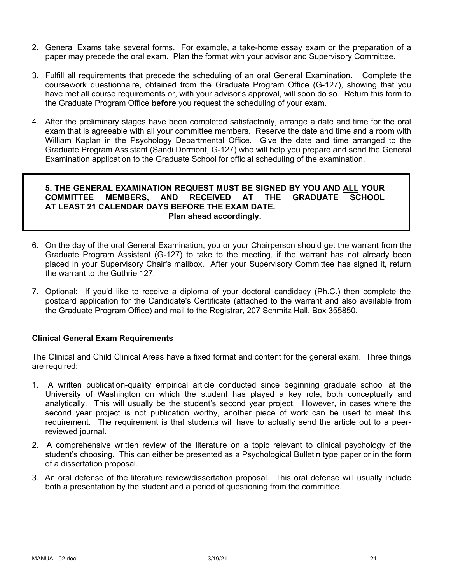- 2. General Exams take several forms. For example, a take-home essay exam or the preparation of a paper may precede the oral exam. Plan the format with your advisor and Supervisory Committee.
- 3. Fulfill all requirements that precede the scheduling of an oral General Examination. Complete the coursework questionnaire, obtained from the Graduate Program Office (G-127), showing that you have met all course requirements or, with your advisor's approval, will soon do so. Return this form to the Graduate Program Office **before** you request the scheduling of your exam.
- 4. After the preliminary stages have been completed satisfactorily, arrange a date and time for the oral exam that is agreeable with all your committee members. Reserve the date and time and a room with William Kaplan in the Psychology Departmental Office. Give the date and time arranged to the Graduate Program Assistant (Sandi Dormont, G-127) who will help you prepare and send the General Examination application to the Graduate School for official scheduling of the examination.

### **5. THE GENERAL EXAMINATION REQUEST MUST BE SIGNED BY YOU AND ALL YOUR COMMITTEE MEMBERS, AND RECEIVED AT THE GRADUATE SCHOOL AT LEAST 21 CALENDAR DAYS BEFORE THE EXAM DATE. Plan ahead accordingly.**

- 6. On the day of the oral General Examination, you or your Chairperson should get the warrant from the Graduate Program Assistant (G-127) to take to the meeting, if the warrant has not already been placed in your Supervisory Chair's mailbox. After your Supervisory Committee has signed it, return the warrant to the Guthrie 127.
- 7. Optional: If you'd like to receive a diploma of your doctoral candidacy (Ph.C.) then complete the postcard application for the Candidate's Certificate (attached to the warrant and also available from the Graduate Program Office) and mail to the Registrar, 207 Schmitz Hall, Box 355850.

# **Clinical General Exam Requirements**

The Clinical and Child Clinical Areas have a fixed format and content for the general exam. Three things are required:

- 1. A written publication-quality empirical article conducted since beginning graduate school at the University of Washington on which the student has played a key role, both conceptually and analytically. This will usually be the student's second year project. However, in cases where the second year project is not publication worthy, another piece of work can be used to meet this requirement. The requirement is that students will have to actually send the article out to a peerreviewed journal.
- 2. A comprehensive written review of the literature on a topic relevant to clinical psychology of the student's choosing. This can either be presented as a Psychological Bulletin type paper or in the form of a dissertation proposal.
- 3. An oral defense of the literature review/dissertation proposal. This oral defense will usually include both a presentation by the student and a period of questioning from the committee.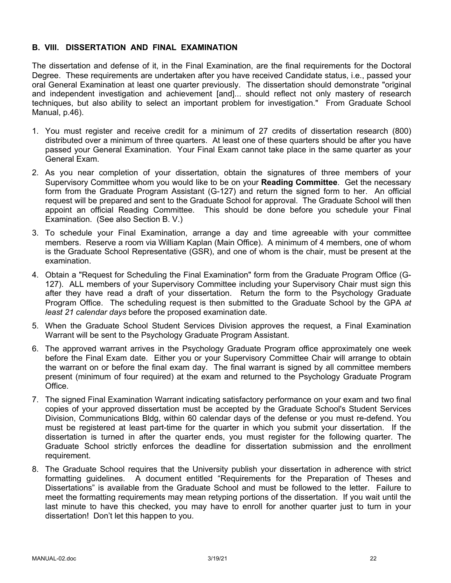### **B. VIII. DISSERTATION AND FINAL EXAMINATION**

The dissertation and defense of it, in the Final Examination, are the final requirements for the Doctoral Degree. These requirements are undertaken after you have received Candidate status, i.e., passed your oral General Examination at least one quarter previously. The dissertation should demonstrate "original and independent investigation and achievement [and]... should reflect not only mastery of research techniques, but also ability to select an important problem for investigation." From Graduate School Manual, p.46).

- 1. You must register and receive credit for a minimum of 27 credits of dissertation research (800) distributed over a minimum of three quarters. At least one of these quarters should be after you have passed your General Examination. Your Final Exam cannot take place in the same quarter as your General Exam.
- 2. As you near completion of your dissertation, obtain the signatures of three members of your Supervisory Committee whom you would like to be on your **Reading Committee**. Get the necessary form from the Graduate Program Assistant (G-127) and return the signed form to her. An official request will be prepared and sent to the Graduate School for approval. The Graduate School will then appoint an official Reading Committee. This should be done before you schedule your Final Examination. (See also Section B. V.)
- 3. To schedule your Final Examination, arrange a day and time agreeable with your committee members. Reserve a room via William Kaplan (Main Office). A minimum of 4 members, one of whom is the Graduate School Representative (GSR), and one of whom is the chair, must be present at the examination.
- 4. Obtain a "Request for Scheduling the Final Examination" form from the Graduate Program Office (G-127). ALL members of your Supervisory Committee including your Supervisory Chair must sign this after they have read a draft of your dissertation. Return the form to the Psychology Graduate Program Office. The scheduling request is then submitted to the Graduate School by the GPA *at least 21 calendar days* before the proposed examination date.
- 5. When the Graduate School Student Services Division approves the request, a Final Examination Warrant will be sent to the Psychology Graduate Program Assistant.
- 6. The approved warrant arrives in the Psychology Graduate Program office approximately one week before the Final Exam date. Either you or your Supervisory Committee Chair will arrange to obtain the warrant on or before the final exam day. The final warrant is signed by all committee members present (minimum of four required) at the exam and returned to the Psychology Graduate Program Office.
- 7. The signed Final Examination Warrant indicating satisfactory performance on your exam and two final copies of your approved dissertation must be accepted by the Graduate School's Student Services Division, Communications Bldg, within 60 calendar days of the defense or you must re-defend. You must be registered at least part-time for the quarter in which you submit your dissertation. If the dissertation is turned in after the quarter ends, you must register for the following quarter. The Graduate School strictly enforces the deadline for dissertation submission and the enrollment requirement.
- 8. The Graduate School requires that the University publish your dissertation in adherence with strict formatting guidelines. A document entitled "Requirements for the Preparation of Theses and Dissertations" is available from the Graduate School and must be followed to the letter. Failure to meet the formatting requirements may mean retyping portions of the dissertation. If you wait until the last minute to have this checked, you may have to enroll for another quarter just to turn in your dissertation! Don't let this happen to you.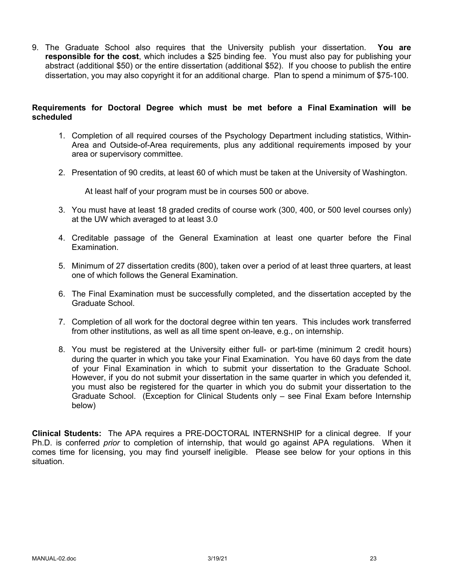9. The Graduate School also requires that the University publish your dissertation. **You are responsible for the cost**, which includes a \$25 binding fee. You must also pay for publishing your abstract (additional \$50) or the entire dissertation (additional \$52). If you choose to publish the entire dissertation, you may also copyright it for an additional charge. Plan to spend a minimum of \$75-100.

# **Requirements for Doctoral Degree which must be met before a Final Examination will be scheduled**

- 1. Completion of all required courses of the Psychology Department including statistics, Within-Area and Outside-of-Area requirements, plus any additional requirements imposed by your area or supervisory committee.
- 2. Presentation of 90 credits, at least 60 of which must be taken at the University of Washington.

At least half of your program must be in courses 500 or above.

- 3. You must have at least 18 graded credits of course work (300, 400, or 500 level courses only) at the UW which averaged to at least 3.0
- 4. Creditable passage of the General Examination at least one quarter before the Final Examination.
- 5. Minimum of 27 dissertation credits (800), taken over a period of at least three quarters, at least one of which follows the General Examination.
- 6. The Final Examination must be successfully completed, and the dissertation accepted by the Graduate School.
- 7. Completion of all work for the doctoral degree within ten years. This includes work transferred from other institutions, as well as all time spent on-leave, e.g., on internship.
- 8. You must be registered at the University either full- or part-time (minimum 2 credit hours) during the quarter in which you take your Final Examination. You have 60 days from the date of your Final Examination in which to submit your dissertation to the Graduate School. However, if you do not submit your dissertation in the same quarter in which you defended it, you must also be registered for the quarter in which you do submit your dissertation to the Graduate School. (Exception for Clinical Students only – see Final Exam before Internship below)

**Clinical Students:** The APA requires a PRE-DOCTORAL INTERNSHIP for a clinical degree. If your Ph.D. is conferred *prior* to completion of internship, that would go against APA regulations. When it comes time for licensing, you may find yourself ineligible. Please see below for your options in this situation.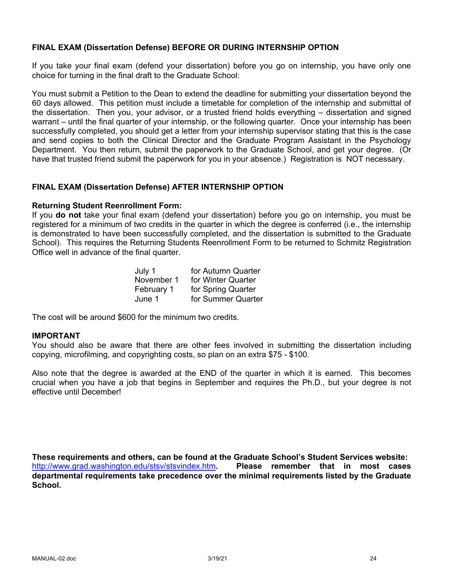# **FINAL EXAM (Dissertation Defense) BEFORE OR DURING INTERNSHIP OPTION**

If you take your final exam (defend your dissertation) before you go on internship, you have only one choice for turning in the final draft to the Graduate School:

You must submit a Petition to the Dean to extend the deadline for submitting your dissertation beyond the 60 days allowed. This petition must include a timetable for completion of the internship and submittal of the dissertation. Then you, your advisor, or a trusted friend holds everything – dissertation and signed warrant – until the final quarter of your internship, or the following quarter. Once your internship has been successfully completed, you should get a letter from your internship supervisor stating that this is the case and send copies to both the Clinical Director and the Graduate Program Assistant in the Psychology Department. You then return, submit the paperwork to the Graduate School, and get your degree. (Or have that trusted friend submit the paperwork for you in your absence.) Registration is NOT necessary.

### **FINAL EXAM (Dissertation Defense) AFTER INTERNSHIP OPTION**

### **Returning Student Reenrollment Form:**

If you **do not** take your final exam (defend your dissertation) before you go on internship, you must be registered for a minimum of two credits in the quarter in which the degree is conferred (i.e., the internship is demonstrated to have been successfully completed, and the dissertation is submitted to the Graduate School). This requires the Returning Students Reenrollment Form to be returned to Schmitz Registration Office well in advance of the final quarter.

| July 1     | for Autumn Quarter |
|------------|--------------------|
| November 1 | for Winter Quarter |
| February 1 | for Spring Quarter |
| June 1     | for Summer Quarter |

The cost will be around \$600 for the minimum two credits.

### **IMPORTANT**

You should also be aware that there are other fees involved in submitting the dissertation including copying, microfilming, and copyrighting costs, so plan on an extra \$75 - \$100.

Also note that the degree is awarded at the END of the quarter in which it is earned. This becomes crucial when you have a job that begins in September and requires the Ph.D., but your degree is not effective until December!

**These requirements and others, can be found at the Graduate School's Student Services website:** http://www.grad.washington.edu/stsv/stsvindex.htm**. Please remember that in most cases departmental requirements take precedence over the minimal requirements listed by the Graduate School.**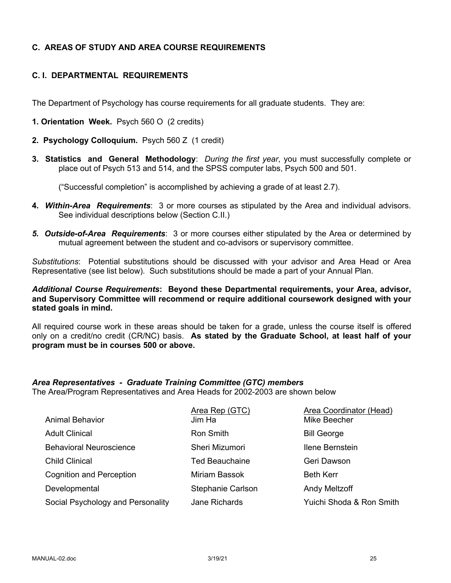# **C. AREAS OF STUDY AND AREA COURSE REQUIREMENTS**

# **C. I. DEPARTMENTAL REQUIREMENTS**

The Department of Psychology has course requirements for all graduate students. They are:

- **1. Orientation Week.** Psych 560 O (2 credits)
- **2. Psychology Colloquium.** Psych 560 Z (1 credit)
- **3. Statistics and General Methodology**: *During the first year*, you must successfully complete or place out of Psych 513 and 514, and the SPSS computer labs, Psych 500 and 501.

("Successful completion" is accomplished by achieving a grade of at least 2.7).

- **4.** *Within-Area Requirements*: 3 or more courses as stipulated by the Area and individual advisors. See individual descriptions below (Section C.II.)
- *5. Outside-of-Area Requirements*: 3 or more courses either stipulated by the Area or determined by mutual agreement between the student and co-advisors or supervisory committee.

*Substitutions*: Potential substitutions should be discussed with your advisor and Area Head or Area Representative (see list below). Such substitutions should be made a part of your Annual Plan.

*Additional Course Requirements***: Beyond these Departmental requirements, your Area, advisor, and Supervisory Committee will recommend or require additional coursework designed with your stated goals in mind.**

All required course work in these areas should be taken for a grade, unless the course itself is offered only on a credit/no credit (CR/NC) basis. **As stated by the Graduate School, at least half of your program must be in courses 500 or above.**

# *Area Representatives - Graduate Training Committee (GTC) members*

The Area/Program Representatives and Area Heads for 2002-2003 are shown below

|                                   | Area Rep (GTC)        | Area Coordinator (Head)  |
|-----------------------------------|-----------------------|--------------------------|
| <b>Animal Behavior</b>            | Jim Ha                | Mike Beecher             |
| <b>Adult Clinical</b>             | Ron Smith             | <b>Bill George</b>       |
| <b>Behavioral Neuroscience</b>    | Sheri Mizumori        | Ilene Bernstein          |
| <b>Child Clinical</b>             | <b>Ted Beauchaine</b> | Geri Dawson              |
| <b>Cognition and Perception</b>   | <b>Miriam Bassok</b>  | <b>Beth Kerr</b>         |
| Developmental                     | Stephanie Carlson     | <b>Andy Meltzoff</b>     |
| Social Psychology and Personality | <b>Jane Richards</b>  | Yuichi Shoda & Ron Smith |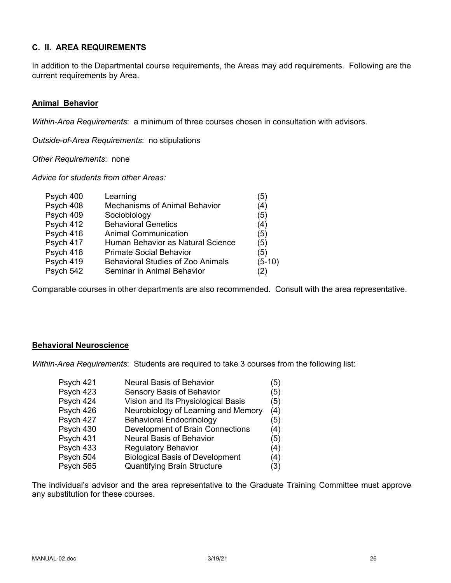# **C. II. AREA REQUIREMENTS**

In addition to the Departmental course requirements, the Areas may add requirements. Following are the current requirements by Area.

### **Animal Behavior**

*Within-Area Requirements*: a minimum of three courses chosen in consultation with advisors.

*Outside-of-Area Requirements*: no stipulations

*Other Requirements*: none

*Advice for students from other Areas:*

| Psych 400 | Learning                                 | (5)      |
|-----------|------------------------------------------|----------|
| Psych 408 | <b>Mechanisms of Animal Behavior</b>     | (4)      |
| Psych 409 | Sociobiology                             | (5)      |
| Psych 412 | <b>Behavioral Genetics</b>               | (4)      |
| Psych 416 | <b>Animal Communication</b>              | (5)      |
| Psych 417 | Human Behavior as Natural Science        | (5)      |
| Psych 418 | <b>Primate Social Behavior</b>           | (5)      |
| Psych 419 | <b>Behavioral Studies of Zoo Animals</b> | $(5-10)$ |
| Psych 542 | Seminar in Animal Behavior               | (2)      |
|           |                                          |          |

Comparable courses in other departments are also recommended. Consult with the area representative.

# **Behavioral Neuroscience**

*Within-Area Requirements*: Students are required to take 3 courses from the following list:

| Psych 421 | <b>Neural Basis of Behavior</b>        | (5) |
|-----------|----------------------------------------|-----|
| Psych 423 | Sensory Basis of Behavior              | (5) |
| Psych 424 | Vision and Its Physiological Basis     | (5) |
| Psych 426 | Neurobiology of Learning and Memory    | (4) |
| Psych 427 | <b>Behavioral Endocrinology</b>        | (5) |
| Psych 430 | Development of Brain Connections       | (4) |
| Psych 431 | <b>Neural Basis of Behavior</b>        | (5) |
| Psych 433 | <b>Regulatory Behavior</b>             | (4) |
| Psych 504 | <b>Biological Basis of Development</b> | (4) |
| Psych 565 | <b>Quantifying Brain Structure</b>     | (3) |

The individual's advisor and the area representative to the Graduate Training Committee must approve any substitution for these courses.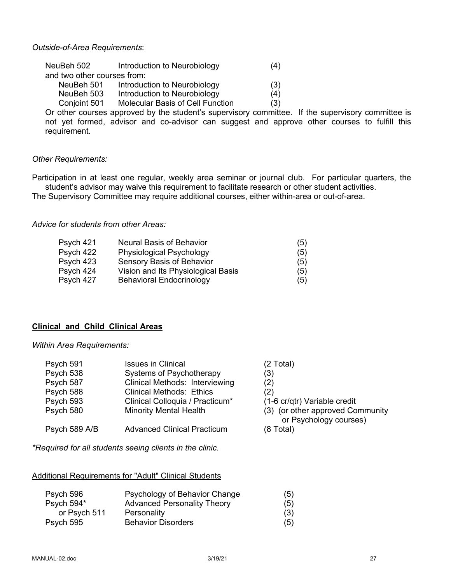### *Outside-of-Area Requirements*:

| NeuBeh 502                  | Introduction to Neurobiology            | (4) |
|-----------------------------|-----------------------------------------|-----|
| and two other courses from: |                                         |     |
| NeuBeh 501                  | Introduction to Neurobiology            | (3) |
| NeuBeh 503                  | Introduction to Neurobiology            | (4) |
| Conjoint 501                | <b>Molecular Basis of Cell Function</b> | (3) |

Or other courses approved by the student's supervisory committee. If the supervisory committee is not yet formed, advisor and co-advisor can suggest and approve other courses to fulfill this requirement.

### *Other Requirements:*

Participation in at least one regular, weekly area seminar or journal club. For particular quarters, the student's advisor may waive this requirement to facilitate research or other student activities.

The Supervisory Committee may require additional courses, either within-area or out-of-area.

*Advice for students from other Areas:*

| <b>Neural Basis of Behavior</b>    | (5) |
|------------------------------------|-----|
| Physiological Psychology           | (5) |
| Sensory Basis of Behavior          | (5) |
| Vision and Its Physiological Basis | (5) |
| <b>Behavioral Endocrinology</b>    | (5) |
|                                    |     |

### **Clinical and Child Clinical Areas**

#### *Within Area Requirements:*

| Psych 591     | <b>Issues in Clinical</b>          | (2 Total)                                                  |
|---------------|------------------------------------|------------------------------------------------------------|
| Psych 538     | Systems of Psychotherapy           | (3)                                                        |
| Psych 587     | Clinical Methods: Interviewing     | (2)                                                        |
| Psych 588     | <b>Clinical Methods: Ethics</b>    | (2)                                                        |
| Psych 593     | Clinical Colloquia / Practicum*    | (1-6 cr/qtr) Variable credit                               |
| Psych 580     | <b>Minority Mental Health</b>      | (3) (or other approved Community<br>or Psychology courses) |
| Psych 589 A/B | <b>Advanced Clinical Practicum</b> | $(8 \text{ Total})$                                        |

*\*Required for all students seeing clients in the clinic.*

Additional Requirements for "Adult" Clinical Students

| Psych 596    | Psychology of Behavior Change      | (5) |
|--------------|------------------------------------|-----|
| Psych 594*   | <b>Advanced Personality Theory</b> | (5) |
| or Psych 511 | Personality                        | (3) |
| Psych 595    | <b>Behavior Disorders</b>          | (5) |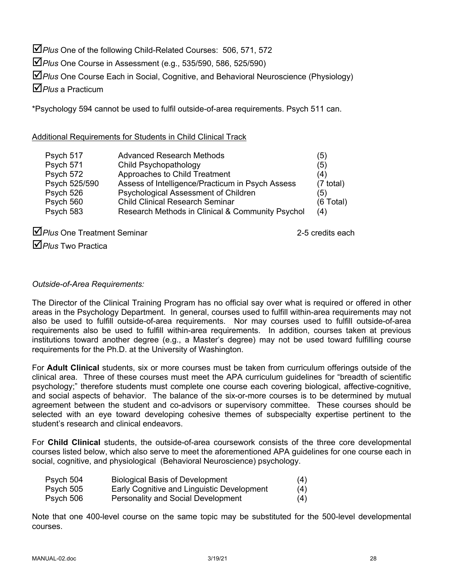$\Delta$  Plus One of the following Child-Related Courses: 506, 571, 572

þ*Plus* One Course in Assessment (e.g., 535/590, 586, 525/590)

þ*Plus* One Course Each in Social, Cognitive, and Behavioral Neuroscience (Physiology)

þ*Plus* a Practicum

\*Psychology 594 cannot be used to fulfil outside-of-area requirements. Psych 511 can.

# Additional Requirements for Students in Child Clinical Track

| Psych 517     | <b>Advanced Research Methods</b>                 | (5)                 |
|---------------|--------------------------------------------------|---------------------|
| Psych 571     | Child Psychopathology                            | (5)                 |
| Psych 572     | Approaches to Child Treatment                    | (4)                 |
| Psych 525/590 | Assess of Intelligence/Practicum in Psych Assess | $(7 \text{ total})$ |
| Psych 526     | Psychological Assessment of Children             | (5)                 |
| Psych 560     | <b>Child Clinical Research Seminar</b>           | $(6$ Total)         |
| Psych 583     | Research Methods in Clinical & Community Psychol | (4)                 |

**D** Plus One Treatment Seminar 2-5 credits each

þ*Plus* Two Practica

# *Outside-of-Area Requirements:*

The Director of the Clinical Training Program has no official say over what is required or offered in other areas in the Psychology Department. In general, courses used to fulfill within-area requirements may not also be used to fulfill outside-of-area requirements. Nor may courses used to fulfill outside-of-area requirements also be used to fulfill within-area requirements. In addition, courses taken at previous institutions toward another degree (e.g., a Master's degree) may not be used toward fulfilling course requirements for the Ph.D. at the University of Washington.

For **Adult Clinical** students, six or more courses must be taken from curriculum offerings outside of the clinical area. Three of these courses must meet the APA curriculum guidelines for "breadth of scientific psychology;" therefore students must complete one course each covering biological, affective-cognitive, and social aspects of behavior. The balance of the six-or-more courses is to be determined by mutual agreement between the student and co-advisors or supervisory committee. These courses should be selected with an eye toward developing cohesive themes of subspecialty expertise pertinent to the student's research and clinical endeavors.

For **Child Clinical** students, the outside-of-area coursework consists of the three core developmental courses listed below, which also serve to meet the aforementioned APA guidelines for one course each in social, cognitive, and physiological (Behavioral Neuroscience) psychology.

| Psych 504 | <b>Biological Basis of Development</b>     | (4) |
|-----------|--------------------------------------------|-----|
| Psych 505 | Early Cognitive and Linguistic Development | (4) |
| Psych 506 | <b>Personality and Social Development</b>  | (4) |

Note that one 400-level course on the same topic may be substituted for the 500-level developmental courses.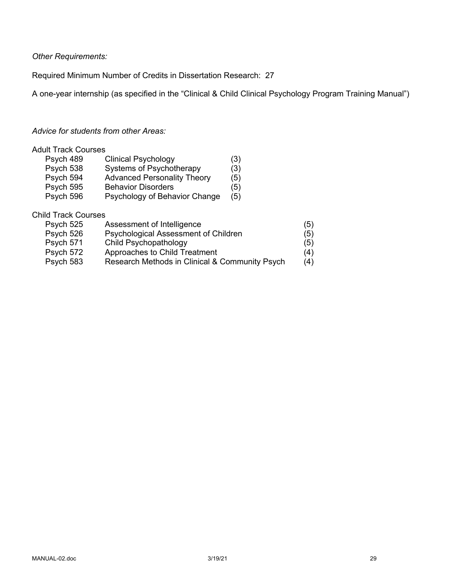*Other Requirements:*

Required Minimum Number of Credits in Dissertation Research: 27

A one-year internship (as specified in the "Clinical & Child Clinical Psychology Program Training Manual")

# *Advice for students from other Areas:*

### Adult Track Courses

| Psych 489 | <b>Clinical Psychology</b>         | (3) |
|-----------|------------------------------------|-----|
| Psych 538 | Systems of Psychotherapy           | (3) |
| Psych 594 | <b>Advanced Personality Theory</b> | (5) |
| Psych 595 | <b>Behavior Disorders</b>          | (5) |
| Psych 596 | Psychology of Behavior Change      | (5) |

### Child Track Courses

| Psych 525 | Assessment of Intelligence                     | (5) |
|-----------|------------------------------------------------|-----|
| Psych 526 | Psychological Assessment of Children           | (5) |
| Psych 571 | Child Psychopathology                          | (5) |
| Psych 572 | Approaches to Child Treatment                  | (4) |
| Psych 583 | Research Methods in Clinical & Community Psych | (4) |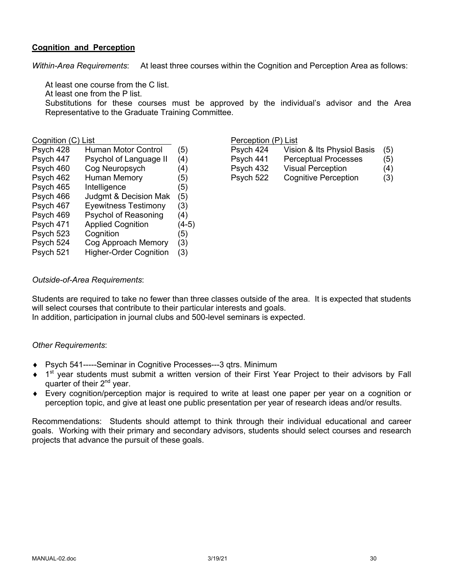# **Cognition and Perception**

*Within-Area Requirements*: At least three courses within the Cognition and Perception Area as follows:

At least one course from the C list.

At least one from the P list.

Substitutions for these courses must be approved by the individual's advisor and the Area Representative to the Graduate Training Committee.

| Psych 428 | Human Motor Control           | (5)   | Psych 424 | Vision & Its Physiol Basis  | (5) |
|-----------|-------------------------------|-------|-----------|-----------------------------|-----|
| Psych 447 | Psychol of Language II        | (4)   | Psych 441 | <b>Perceptual Processes</b> | (5) |
| Psych 460 | Cog Neuropsych                | (4)   | Psych 432 | <b>Visual Perception</b>    | (4) |
| Psych 462 | Human Memory                  | (5)   | Psych 522 | Cognitive Perception        | (3) |
| Psych 465 | Intelligence                  | (5)   |           |                             |     |
| Psych 466 | Judgmt & Decision Mak         | (5)   |           |                             |     |
| Psych 467 | <b>Eyewitness Testimony</b>   | (3)   |           |                             |     |
| Psych 469 | Psychol of Reasoning          | (4)   |           |                             |     |
| Psych 471 | <b>Applied Cognition</b>      | (4-5) |           |                             |     |
| Psych 523 | Cognition                     | (5)   |           |                             |     |
| Psych 524 | Cog Approach Memory           | (3)   |           |                             |     |
| Psych 521 | <b>Higher-Order Cognition</b> | (3)   |           |                             |     |
|           |                               |       |           |                             |     |

### Cognition (C) List **Perception** (P) List

| Psych 424 | Vision & Its Physiol Basis  | (5) |
|-----------|-----------------------------|-----|
| Psych 441 | <b>Perceptual Processes</b> | (5) |
| Psych 432 | <b>Visual Perception</b>    | (4) |
| Psych 522 | <b>Cognitive Perception</b> | (3) |
|           |                             |     |

# *Outside-of-Area Requirements*:

Students are required to take no fewer than three classes outside of the area. It is expected that students will select courses that contribute to their particular interests and goals.

In addition, participation in journal clubs and 500-level seminars is expected.

### *Other Requirements*:

- ◆ Psych 541-----Seminar in Cognitive Processes---3 qtrs. Minimum
- $\bullet$  1<sup>st</sup> year students must submit a written version of their First Year Project to their advisors by Fall quarter of their 2<sup>nd</sup> year.
- Every cognition/perception major is required to write at least one paper per year on a cognition or perception topic, and give at least one public presentation per year of research ideas and/or results.

Recommendations: Students should attempt to think through their individual educational and career goals. Working with their primary and secondary advisors, students should select courses and research projects that advance the pursuit of these goals.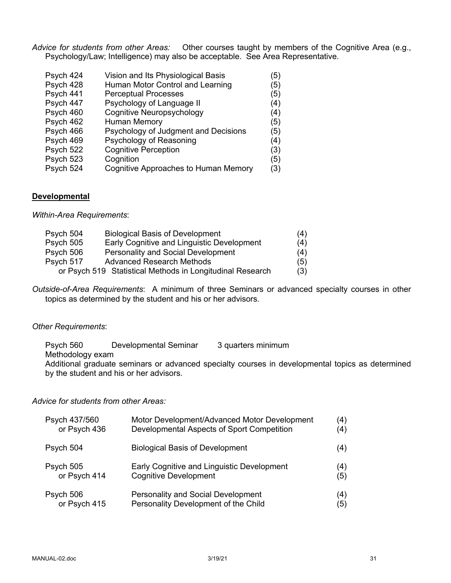*Advice for students from other Areas:* Other courses taught by members of the Cognitive Area (e.g., Psychology/Law; Intelligence) may also be acceptable. See Area Representative.

| Psych 424 | Vision and Its Physiological Basis   | (5) |
|-----------|--------------------------------------|-----|
| Psych 428 | Human Motor Control and Learning     | (5) |
| Psych 441 | <b>Perceptual Processes</b>          | (5) |
| Psych 447 | Psychology of Language II            | (4) |
| Psych 460 | <b>Cognitive Neuropsychology</b>     | (4) |
| Psych 462 | <b>Human Memory</b>                  | (5) |
| Psych 466 | Psychology of Judgment and Decisions | (5) |
| Psych 469 | Psychology of Reasoning              | (4) |
| Psych 522 | <b>Cognitive Perception</b>          | (3) |
| Psych 523 | Cognition                            | (5) |
| Psych 524 | Cognitive Approaches to Human Memory | (3) |

### **Developmental**

*Within-Area Requirements*:

| Psych 504 | <b>Biological Basis of Development</b>                    | (4) |
|-----------|-----------------------------------------------------------|-----|
| Psych 505 | Early Cognitive and Linguistic Development                | (4) |
| Psych 506 | Personality and Social Development                        | (4) |
| Psych 517 | <b>Advanced Research Methods</b>                          | (5) |
|           | or Psych 519 Statistical Methods in Longitudinal Research | (3) |

*Outside-of-Area Requirements*: A minimum of three Seminars or advanced specialty courses in other topics as determined by the student and his or her advisors.

### *Other Requirements*:

Psych 560 Developmental Seminar 3 quarters minimum Methodology exam Additional graduate seminars or advanced specialty courses in developmental topics as determined by the student and his or her advisors.

*Advice for students from other Areas:*

| Psych 437/560 | Motor Development/Advanced Motor Development | $\left( 4\right)$ |
|---------------|----------------------------------------------|-------------------|
| or Psych 436  | Developmental Aspects of Sport Competition   | (4)               |
| Psych 504     | <b>Biological Basis of Development</b>       | (4)               |
| Psych 505     | Early Cognitive and Linguistic Development   | (4)               |
| or Psych 414  | <b>Cognitive Development</b>                 | (5)               |
| Psych 506     | <b>Personality and Social Development</b>    | (4)               |
| or Psych 415  | Personality Development of the Child         | (5)               |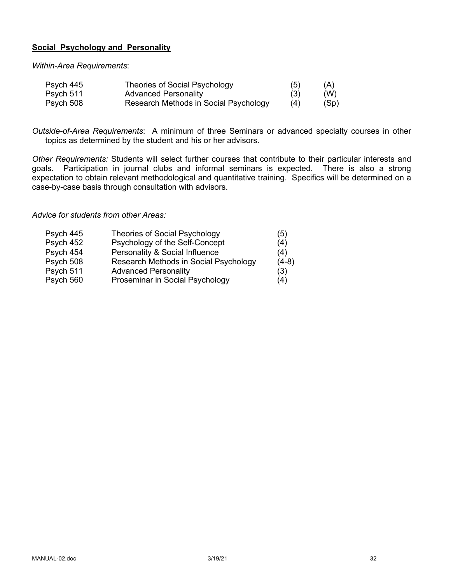# **Social Psychology and Personality**

*Within-Area Requirements*:

| Psych 445 | <b>Theories of Social Psychology</b>  | (5) | (A)  |
|-----------|---------------------------------------|-----|------|
| Psych 511 | <b>Advanced Personality</b>           | (3) | (W)  |
| Psych 508 | Research Methods in Social Psychology | (4) | (Sp) |

*Outside-of-Area Requirements*: A minimum of three Seminars or advanced specialty courses in other topics as determined by the student and his or her advisors.

*Other Requirements:* Students will select further courses that contribute to their particular interests and goals. Participation in journal clubs and informal seminars is expected. There is also a strong expectation to obtain relevant methodological and quantitative training. Specifics will be determined on a case-by-case basis through consultation with advisors.

### *Advice for students from other Areas:*

| Psych 445 | <b>Theories of Social Psychology</b>  | (5)     |
|-----------|---------------------------------------|---------|
| Psych 452 | Psychology of the Self-Concept        | (4)     |
| Psych 454 | Personality & Social Influence        | (4)     |
| Psych 508 | Research Methods in Social Psychology | $(4-8)$ |
| Psych 511 | <b>Advanced Personality</b>           | (3)     |
| Psych 560 | Proseminar in Social Psychology       | (4)     |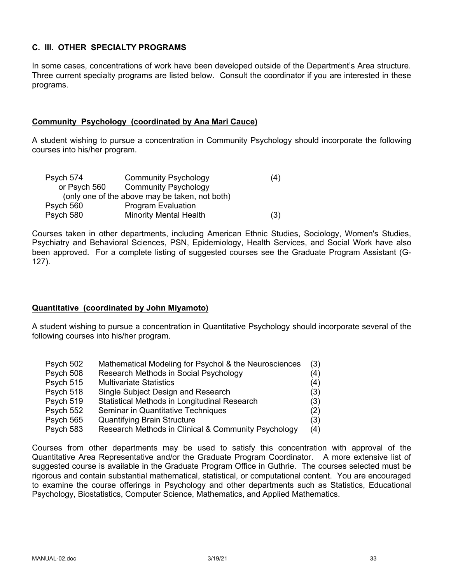# **C. III. OTHER SPECIALTY PROGRAMS**

In some cases, concentrations of work have been developed outside of the Department's Area structure. Three current specialty programs are listed below. Consult the coordinator if you are interested in these programs.

### **Community Psychology (coordinated by Ana Mari Cauce)**

A student wishing to pursue a concentration in Community Psychology should incorporate the following courses into his/her program.

| Psych 574    | <b>Community Psychology</b>                    | (4) |
|--------------|------------------------------------------------|-----|
| or Psych 560 | <b>Community Psychology</b>                    |     |
|              | (only one of the above may be taken, not both) |     |
| Psych 560    | <b>Program Evaluation</b>                      |     |
| Psych 580    | <b>Minority Mental Health</b>                  | (3) |

Courses taken in other departments, including American Ethnic Studies, Sociology, Women's Studies, Psychiatry and Behavioral Sciences, PSN, Epidemiology, Health Services, and Social Work have also been approved. For a complete listing of suggested courses see the Graduate Program Assistant (G-127).

# **Quantitative (coordinated by John Miyamoto)**

A student wishing to pursue a concentration in Quantitative Psychology should incorporate several of the following courses into his/her program.

| Psych 502 | Mathematical Modeling for Psychol & the Neurosciences | (3) |
|-----------|-------------------------------------------------------|-----|
| Psych 508 | Research Methods in Social Psychology                 | (4) |
| Psych 515 | <b>Multivariate Statistics</b>                        | (4) |
| Psych 518 | Single Subject Design and Research                    | (3) |
| Psych 519 | Statistical Methods in Longitudinal Research          | (3) |
| Psych 552 | Seminar in Quantitative Techniques                    | (2) |
| Psych 565 | <b>Quantifying Brain Structure</b>                    | (3) |
| Psych 583 | Research Methods in Clinical & Community Psychology   | (4) |

Courses from other departments may be used to satisfy this concentration with approval of the Quantitative Area Representative and/or the Graduate Program Coordinator. A more extensive list of suggested course is available in the Graduate Program Office in Guthrie. The courses selected must be rigorous and contain substantial mathematical, statistical, or computational content. You are encouraged to examine the course offerings in Psychology and other departments such as Statistics, Educational Psychology, Biostatistics, Computer Science, Mathematics, and Applied Mathematics.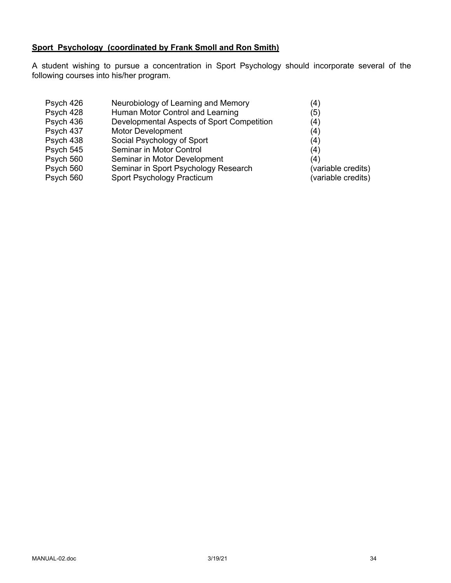# **Sport Psychology (coordinated by Frank Smoll and Ron Smith)**

A student wishing to pursue a concentration in Sport Psychology should incorporate several of the following courses into his/her program.

| Psych 426 | Neurobiology of Learning and Memory        | (4)                |
|-----------|--------------------------------------------|--------------------|
| Psych 428 | Human Motor Control and Learning           | (5)                |
| Psych 436 | Developmental Aspects of Sport Competition | (4)                |
| Psych 437 | <b>Motor Development</b>                   | (4)                |
| Psych 438 | Social Psychology of Sport                 | (4)                |
| Psych 545 | Seminar in Motor Control                   | (4)                |
| Psych 560 | Seminar in Motor Development               | (4)                |
| Psych 560 | Seminar in Sport Psychology Research       | (variable credits) |
| Psych 560 | Sport Psychology Practicum                 | (variable credits) |
|           |                                            |                    |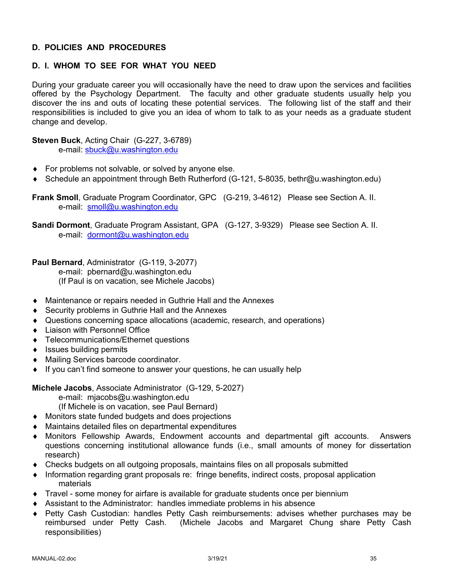# **D. POLICIES AND PROCEDURES**

# **D. I. WHOM TO SEE FOR WHAT YOU NEED**

During your graduate career you will occasionally have the need to draw upon the services and facilities offered by the Psychology Department. The faculty and other graduate students usually help you discover the ins and outs of locating these potential services. The following list of the staff and their responsibilities is included to give you an idea of whom to talk to as your needs as a graduate student change and develop.

**Steven Buck**, Acting Chair (G-227, 3-6789) e-mail: sbuck@u.washington.edu

- $\bullet$  For problems not solvable, or solved by anyone else.
- ◆ Schedule an appointment through Beth Rutherford (G-121, 5-8035, bethr@u.washington.edu)

**Frank Smoll**, Graduate Program Coordinator, GPC (G-219, 3-4612) Please see Section A. II. e-mail: smoll@u.washington.edu

**Sandi Dormont**, Graduate Program Assistant, GPA (G-127, 3-9329) Please see Section A. II. e-mail: dormont@u.washington.edu

**Paul Bernard**, Administrator (G-119, 3-2077)

e-mail: pbernard@u.washington.edu (If Paul is on vacation, see Michele Jacobs)

- ◆ Maintenance or repairs needed in Guthrie Hall and the Annexes
- $\triangle$  Security problems in Guthrie Hall and the Annexes
- Questions concerning space allocations (academic, research, and operations)
- Liaison with Personnel Office
- ◆ Telecommunications/Ethernet questions
- $\bullet$  Issues building permits
- ◆ Mailing Services barcode coordinator.
- $\bullet$  If you can't find someone to answer your questions, he can usually help

**Michele Jacobs**, Associate Administrator (G-129, 5-2027)

- e-mail: mjacobs@u.washington.edu
- (If Michele is on vacation, see Paul Bernard)
- $\bullet$  Monitors state funded budgets and does projections
- $\bullet$  Maintains detailed files on departmental expenditures
- Monitors Fellowship Awards, Endowment accounts and departmental gift accounts. Answers questions concerning institutional allowance funds (i.e., small amounts of money for dissertation research)
- Checks budgets on all outgoing proposals, maintains files on all proposals submitted
- Information regarding grant proposals re: fringe benefits, indirect costs, proposal application materials
- Travel some money for airfare is available for graduate students once per biennium
- Assistant to the Administrator: handles immediate problems in his absence
- ◆ Petty Cash Custodian: handles Petty Cash reimbursements: advises whether purchases may be reimbursed under Petty Cash. (Michele Jacobs and Margaret Chung share Petty Cash responsibilities)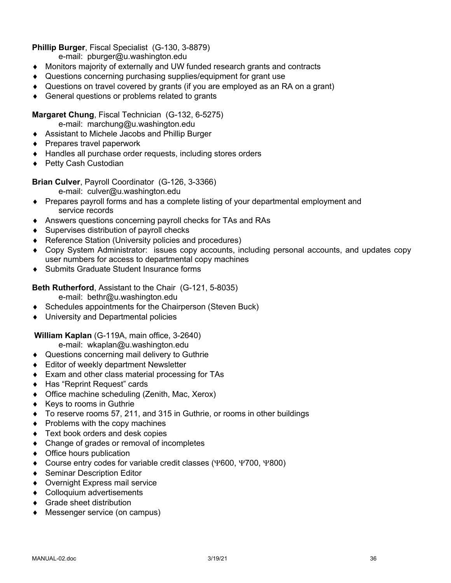# **Phillip Burger**, Fiscal Specialist (G-130, 3-8879)

e-mail: pburger@u.washington.edu

- Monitors majority of externally and UW funded research grants and contracts
- ◆ Questions concerning purchasing supplies/equipment for grant use
- $\bullet$  Questions on travel covered by grants (if you are employed as an RA on a grant)
- $\triangleleft$  General questions or problems related to grants

### **Margaret Chung**, Fiscal Technician (G-132, 6-5275)

e-mail: marchung@u.washington.edu

- ◆ Assistant to Michele Jacobs and Phillip Burger
- $\triangle$  Prepares travel paperwork
- $\triangleleft$  Handles all purchase order requests, including stores orders
- ◆ Petty Cash Custodian

### **Brian Culver**, Payroll Coordinator (G-126, 3-3366)

e-mail: culver@u.washington.edu

- Prepares payroll forms and has a complete listing of your departmental employment and service records
- Answers questions concerning payroll checks for TAs and RAs
- $\bullet$  Supervises distribution of payroll checks
- ◆ Reference Station (University policies and procedures)
- Copy System Administrator: issues copy accounts, including personal accounts, and updates copy user numbers for access to departmental copy machines
- ◆ Submits Graduate Student Insurance forms

**Beth Rutherford**, Assistant to the Chair (G-121, 5-8035)

e-mail: bethr@u.washington.edu

- $\bullet$  Schedules appointments for the Chairperson (Steven Buck)
- ◆ University and Departmental policies

**William Kaplan** (G-119A, main office, 3-2640)

e-mail: wkaplan@u.washington.edu

- ◆ Questions concerning mail delivery to Guthrie
- ◆ Editor of weekly department Newsletter
- $\bullet$  Exam and other class material processing for TAs
- ◆ Has "Reprint Request" cards
- $\bullet$  Office machine scheduling (Zenith, Mac, Xerox)
- $\triangleleft$  Keys to rooms in Guthrie
- $\bullet$  To reserve rooms 57, 211, and 315 in Guthrie, or rooms in other buildings
- $\bullet$  Problems with the copy machines
- $\triangleleft$  Text book orders and desk copies
- $\bullet$  Change of grades or removal of incompletes
- $\bullet$  Office hours publication
- $\bullet$  Course entry codes for variable credit classes (Y600, Y700, Y800)
- ◆ Seminar Description Editor
- ◆ Overnight Express mail service
- ◆ Colloquium advertisements
- $\triangleleft$  Grade sheet distribution
- ◆ Messenger service (on campus)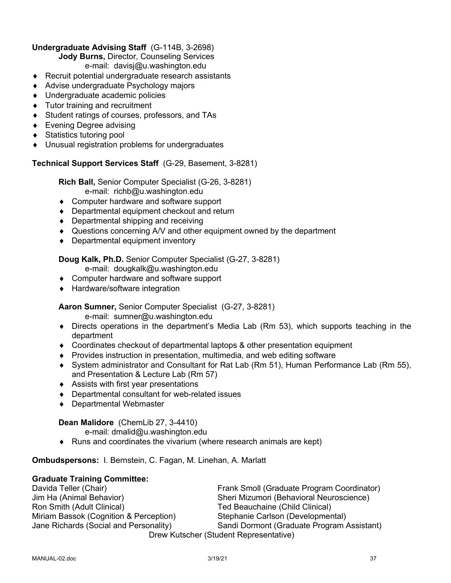# **Undergraduate Advising Staff** (G-114B, 3-2698)

**Jody Burns,** Director, Counseling Services

e-mail: davisj@u.washington.edu

- $\triangle$  Recruit potential undergraduate research assistants
- ◆ Advise undergraduate Psychology majors
- ◆ Undergraduate academic policies
- $\bullet$  Tutor training and recruitment
- ◆ Student ratings of courses, professors, and TAs
- $\bullet$  Evening Degree advising
- ◆ Statistics tutoring pool
- $\bullet$  Unusual registration problems for undergraduates

# **Technical Support Services Staff** (G-29, Basement, 3-8281)

**Rich Ball,** Senior Computer Specialist (G-26, 3-8281) e-mail: richb@u.washington.edu

- ◆ Computer hardware and software support
- $\bullet$  Departmental equipment checkout and return
- $\bullet$  Departmental shipping and receiving
- Questions concerning A/V and other equipment owned by the department
- $\bullet$  Departmental equipment inventory

# **Doug Kalk, Ph.D.** Senior Computer Specialist (G-27, 3-8281)

- e-mail: dougkalk@u.washington.edu
- ◆ Computer hardware and software support
- ◆ Hardware/software integration

# **Aaron Sumner,** Senior Computer Specialist (G-27, 3-8281)

e-mail: sumner@u.washington.edu

- $\bullet$  Directs operations in the department's Media Lab (Rm 53), which supports teaching in the department
- $\bullet$  Coordinates checkout of departmental laptops & other presentation equipment
- ◆ Provides instruction in presentation, multimedia, and web editing software
- ¨ System administrator and Consultant for Rat Lab (Rm 51), Human Performance Lab (Rm 55), and Presentation & Lecture Lab (Rm 57)
- $\triangleleft$  Assists with first year presentations
- $\bullet$  Departmental consultant for web-related issues
- ◆ Departmental Webmaster

# **Dean Malidore** (ChemLib 27, 3-4410)

e-mail: dmalid@u.washington.edu

 $\bullet$  Runs and coordinates the vivarium (where research animals are kept)

**Ombudspersons:** I. Bernstein, C. Fagan, M. Linehan, A. Marlatt

# **Graduate Training Committee:**

Davida Teller (Chair) Frank Smoll (Graduate Program Coordinator) Jim Ha (Animal Behavior) Sheri Mizumori (Behavioral Neuroscience) Ted Beauchaine (Child Clinical) Miriam Bassok (Cognition & Perception) Stephanie Carlson (Developmental) Jane Richards (Social and Personality) Sandi Dormont (Graduate Program Assistant) Drew Kutscher (Student Representative)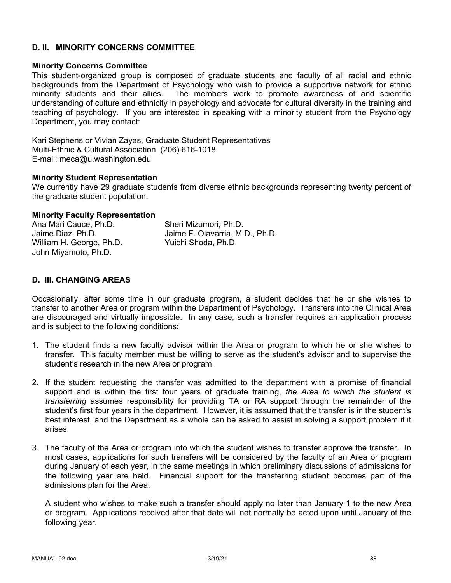### **D. II. MINORITY CONCERNS COMMITTEE**

### **Minority Concerns Committee**

This student-organized group is composed of graduate students and faculty of all racial and ethnic backgrounds from the Department of Psychology who wish to provide a supportive network for ethnic minority students and their allies. The members work to promote awareness of and scientific understanding of culture and ethnicity in psychology and advocate for cultural diversity in the training and teaching of psychology. If you are interested in speaking with a minority student from the Psychology Department, you may contact:

Kari Stephens or Vivian Zayas, Graduate Student Representatives Multi-Ethnic & Cultural Association (206) 616-1018 E-mail: meca@u.washington.edu

### **Minority Student Representation**

We currently have 29 graduate students from diverse ethnic backgrounds representing twenty percent of the graduate student population.

### **Minority Faculty Representation**

| Ana Mari Cauce, Ph.D.    | Sheri Mizumori, Ph.D.           |
|--------------------------|---------------------------------|
| Jaime Diaz, Ph.D.        | Jaime F. Olavarria, M.D., Ph.D. |
| William H. George, Ph.D. | Yuichi Shoda, Ph.D.             |
| John Miyamoto, Ph.D.     |                                 |

### **D. III. CHANGING AREAS**

Occasionally, after some time in our graduate program, a student decides that he or she wishes to transfer to another Area or program within the Department of Psychology. Transfers into the Clinical Area are discouraged and virtually impossible. In any case, such a transfer requires an application process and is subject to the following conditions:

- 1. The student finds a new faculty advisor within the Area or program to which he or she wishes to transfer. This faculty member must be willing to serve as the student's advisor and to supervise the student's research in the new Area or program.
- 2. If the student requesting the transfer was admitted to the department with a promise of financial support and is within the first four years of graduate training, *the Area to which the student is transferring* assumes responsibility for providing TA or RA support through the remainder of the student's first four years in the department. However, it is assumed that the transfer is in the student's best interest, and the Department as a whole can be asked to assist in solving a support problem if it arises.
- 3. The faculty of the Area or program into which the student wishes to transfer approve the transfer. In most cases, applications for such transfers will be considered by the faculty of an Area or program during January of each year, in the same meetings in which preliminary discussions of admissions for the following year are held. Financial support for the transferring student becomes part of the admissions plan for the Area.

A student who wishes to make such a transfer should apply no later than January 1 to the new Area or program. Applications received after that date will not normally be acted upon until January of the following year.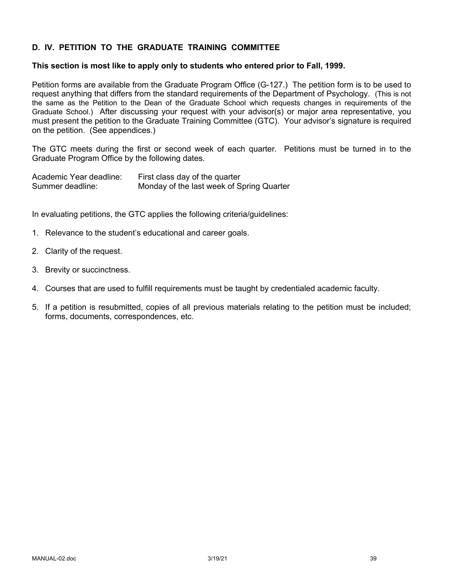# **D. IV. PETITION TO THE GRADUATE TRAINING COMMITTEE**

### **This section is most like to apply only to students who entered prior to Fall, 1999.**

Petition forms are available from the Graduate Program Office (G-127.) The petition form is to be used to request anything that differs from the standard requirements of the Department of Psychology. (This is not the same as the Petition to the Dean of the Graduate School which requests changes in requirements of the Graduate School.) After discussing your request with your advisor(s) or major area representative, you must present the petition to the Graduate Training Committee (GTC). Your advisor's signature is required on the petition. (See appendices.)

The GTC meets during the first or second week of each quarter. Petitions must be turned in to the Graduate Program Office by the following dates.

| Academic Year deadline: | First class day of the quarter            |
|-------------------------|-------------------------------------------|
| Summer deadline:        | Monday of the last week of Spring Quarter |

In evaluating petitions, the GTC applies the following criteria/guidelines:

- 1. Relevance to the student's educational and career goals.
- 2. Clarity of the request.
- 3. Brevity or succinctness.
- 4. Courses that are used to fulfill requirements must be taught by credentialed academic faculty.
- 5. If a petition is resubmitted, copies of all previous materials relating to the petition must be included; forms, documents, correspondences, etc.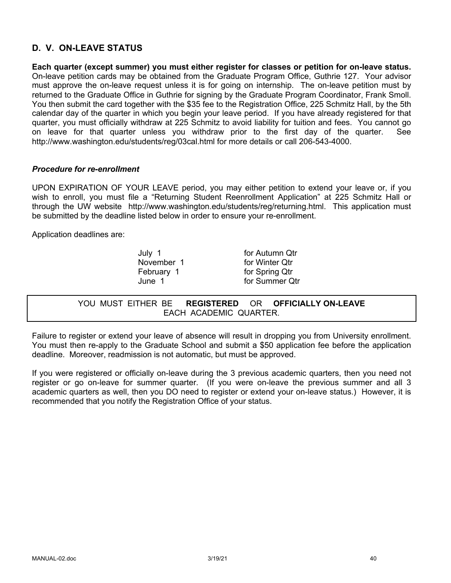# **D. V. ON-LEAVE STATUS**

**Each quarter (except summer) you must either register for classes or petition for on-leave status.** On-leave petition cards may be obtained from the Graduate Program Office, Guthrie 127. Your advisor must approve the on-leave request unless it is for going on internship. The on-leave petition must by returned to the Graduate Office in Guthrie for signing by the Graduate Program Coordinator, Frank Smoll. You then submit the card together with the \$35 fee to the Registration Office, 225 Schmitz Hall, by the 5th calendar day of the quarter in which you begin your leave period. If you have already registered for that quarter, you must officially withdraw at 225 Schmitz to avoid liability for tuition and fees. You cannot go on leave for that quarter unless you withdraw prior to the first day of the quarter. See http://www.washington.edu/students/reg/03cal.html for more details or call 206-543-4000.

### *Procedure for re-enrollment*

UPON EXPIRATION OF YOUR LEAVE period, you may either petition to extend your leave or, if you wish to enroll, you must file a "Returning Student Reenrollment Application" at 225 Schmitz Hall or through the UW website http://www.washington.edu/students/reg/returning.html. This application must be submitted by the deadline listed below in order to ensure your re-enrollment.

Application deadlines are:

July 1 for Autumn Qtr November 1 for Winter Qtr February 1 for Spring Qtr June 1 for Summer Qtr

YOU MUST EITHER BE **REGISTERED** OR **OFFICIALLY ON-LEAVE** EACH ACADEMIC QUARTER.

Failure to register or extend your leave of absence will result in dropping you from University enrollment. You must then re-apply to the Graduate School and submit a \$50 application fee before the application deadline. Moreover, readmission is not automatic, but must be approved.

If you were registered or officially on-leave during the 3 previous academic quarters, then you need not register or go on-leave for summer quarter. (If you were on-leave the previous summer and all 3 academic quarters as well, then you DO need to register or extend your on-leave status.) However, it is recommended that you notify the Registration Office of your status.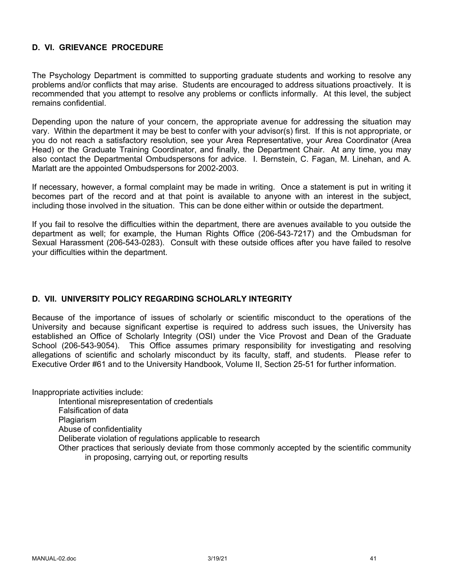# **D. VI. GRIEVANCE PROCEDURE**

The Psychology Department is committed to supporting graduate students and working to resolve any problems and/or conflicts that may arise. Students are encouraged to address situations proactively. It is recommended that you attempt to resolve any problems or conflicts informally. At this level, the subject remains confidential.

Depending upon the nature of your concern, the appropriate avenue for addressing the situation may vary. Within the department it may be best to confer with your advisor(s) first. If this is not appropriate, or you do not reach a satisfactory resolution, see your Area Representative, your Area Coordinator (Area Head) or the Graduate Training Coordinator, and finally, the Department Chair. At any time, you may also contact the Departmental Ombudspersons for advice. I. Bernstein, C. Fagan, M. Linehan, and A. Marlatt are the appointed Ombudspersons for 2002-2003.

If necessary, however, a formal complaint may be made in writing. Once a statement is put in writing it becomes part of the record and at that point is available to anyone with an interest in the subject, including those involved in the situation. This can be done either within or outside the department.

If you fail to resolve the difficulties within the department, there are avenues available to you outside the department as well; for example, the Human Rights Office (206-543-7217) and the Ombudsman for Sexual Harassment (206-543-0283). Consult with these outside offices after you have failed to resolve your difficulties within the department.

# **D. VII. UNIVERSITY POLICY REGARDING SCHOLARLY INTEGRITY**

Because of the importance of issues of scholarly or scientific misconduct to the operations of the University and because significant expertise is required to address such issues, the University has established an Office of Scholarly Integrity (OSI) under the Vice Provost and Dean of the Graduate School (206-543-9054). This Office assumes primary responsibility for investigating and resolving allegations of scientific and scholarly misconduct by its faculty, staff, and students. Please refer to Executive Order #61 and to the University Handbook, Volume II, Section 25-51 for further information.

Inappropriate activities include:

Intentional misrepresentation of credentials Falsification of data **Plagiarism** Abuse of confidentiality Deliberate violation of regulations applicable to research Other practices that seriously deviate from those commonly accepted by the scientific community in proposing, carrying out, or reporting results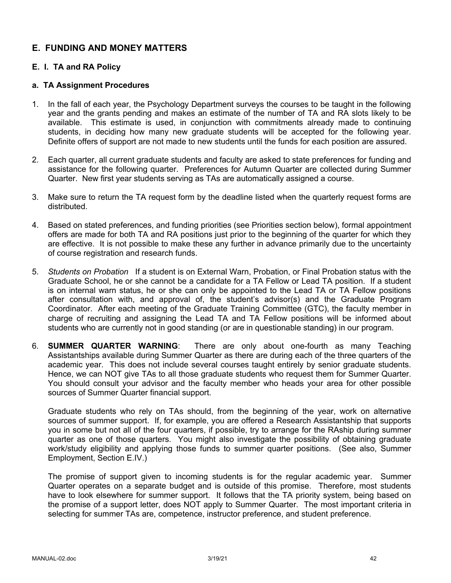# **E. FUNDING AND MONEY MATTERS**

# **E. I. TA and RA Policy**

### **a. TA Assignment Procedures**

- 1. In the fall of each year, the Psychology Department surveys the courses to be taught in the following year and the grants pending and makes an estimate of the number of TA and RA slots likely to be available. This estimate is used, in conjunction with commitments already made to continuing students, in deciding how many new graduate students will be accepted for the following year. Definite offers of support are not made to new students until the funds for each position are assured.
- 2. Each quarter, all current graduate students and faculty are asked to state preferences for funding and assistance for the following quarter. Preferences for Autumn Quarter are collected during Summer Quarter. New first year students serving as TAs are automatically assigned a course.
- 3. Make sure to return the TA request form by the deadline listed when the quarterly request forms are distributed.
- 4. Based on stated preferences, and funding priorities (see Priorities section below), formal appointment offers are made for both TA and RA positions just prior to the beginning of the quarter for which they are effective. It is not possible to make these any further in advance primarily due to the uncertainty of course registration and research funds.
- 5. *Students on Probation* If a student is on External Warn, Probation, or Final Probation status with the Graduate School, he or she cannot be a candidate for a TA Fellow or Lead TA position. If a student is on internal warn status, he or she can only be appointed to the Lead TA or TA Fellow positions after consultation with, and approval of, the student's advisor(s) and the Graduate Program Coordinator. After each meeting of the Graduate Training Committee (GTC), the faculty member in charge of recruiting and assigning the Lead TA and TA Fellow positions will be informed about students who are currently not in good standing (or are in questionable standing) in our program.
- 6. **SUMMER QUARTER WARNING**: There are only about one-fourth as many Teaching Assistantships available during Summer Quarter as there are during each of the three quarters of the academic year. This does not include several courses taught entirely by senior graduate students. Hence, we can NOT give TAs to all those graduate students who request them for Summer Quarter. You should consult your advisor and the faculty member who heads your area for other possible sources of Summer Quarter financial support.

Graduate students who rely on TAs should, from the beginning of the year, work on alternative sources of summer support. If, for example, you are offered a Research Assistantship that supports you in some but not all of the four quarters, if possible, try to arrange for the RAship during summer quarter as one of those quarters. You might also investigate the possibility of obtaining graduate work/study eligibility and applying those funds to summer quarter positions. (See also, Summer Employment, Section E.IV.)

The promise of support given to incoming students is for the regular academic year. Summer Quarter operates on a separate budget and is outside of this promise. Therefore, most students have to look elsewhere for summer support. It follows that the TA priority system, being based on the promise of a support letter, does NOT apply to Summer Quarter. The most important criteria in selecting for summer TAs are, competence, instructor preference, and student preference.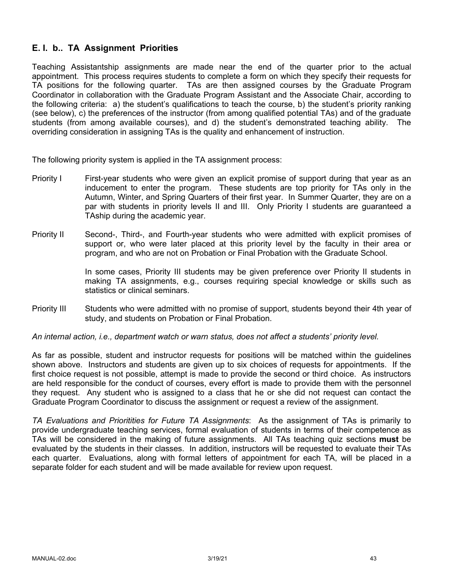# **E. I. b.. TA Assignment Priorities**

Teaching Assistantship assignments are made near the end of the quarter prior to the actual appointment. This process requires students to complete a form on which they specify their requests for TA positions for the following quarter. TAs are then assigned courses by the Graduate Program Coordinator in collaboration with the Graduate Program Assistant and the Associate Chair, according to the following criteria: a) the student's qualifications to teach the course, b) the student's priority ranking (see below), c) the preferences of the instructor (from among qualified potential TAs) and of the graduate students (from among available courses), and d) the student's demonstrated teaching ability. The overriding consideration in assigning TAs is the quality and enhancement of instruction.

The following priority system is applied in the TA assignment process:

- Priority I First-year students who were given an explicit promise of support during that year as an inducement to enter the program. These students are top priority for TAs only in the Autumn, Winter, and Spring Quarters of their first year. In Summer Quarter, they are on a par with students in priority levels II and III. Only Priority I students are guaranteed a TAship during the academic year.
- Priority II Second-, Third-, and Fourth-year students who were admitted with explicit promises of support or, who were later placed at this priority level by the faculty in their area or program, and who are not on Probation or Final Probation with the Graduate School.

In some cases, Priority III students may be given preference over Priority II students in making TA assignments, e.g., courses requiring special knowledge or skills such as statistics or clinical seminars.

Priority III Students who were admitted with no promise of support, students beyond their 4th year of study, and students on Probation or Final Probation.

*An internal action, i.e., department watch or warn status, does not affect a students' priority level.*

As far as possible, student and instructor requests for positions will be matched within the guidelines shown above. Instructors and students are given up to six choices of requests for appointments. If the first choice request is not possible, attempt is made to provide the second or third choice. As instructors are held responsible for the conduct of courses, every effort is made to provide them with the personnel they request. Any student who is assigned to a class that he or she did not request can contact the Graduate Program Coordinator to discuss the assignment or request a review of the assignment.

*TA Evaluations and Prioritities for Future TA Assignments*: As the assignment of TAs is primarily to provide undergraduate teaching services, formal evaluation of students in terms of their competence as TAs will be considered in the making of future assignments. All TAs teaching quiz sections **must** be evaluated by the students in their classes. In addition, instructors will be requested to evaluate their TAs each quarter. Evaluations, along with formal letters of appointment for each TA, will be placed in a separate folder for each student and will be made available for review upon request.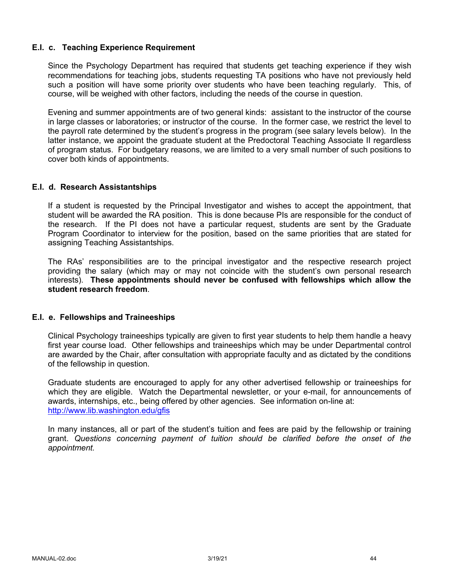### **E.I. c. Teaching Experience Requirement**

Since the Psychology Department has required that students get teaching experience if they wish recommendations for teaching jobs, students requesting TA positions who have not previously held such a position will have some priority over students who have been teaching regularly. This, of course, will be weighed with other factors, including the needs of the course in question.

Evening and summer appointments are of two general kinds: assistant to the instructor of the course in large classes or laboratories; or instructor of the course. In the former case, we restrict the level to the payroll rate determined by the student's progress in the program (see salary levels below). In the latter instance, we appoint the graduate student at the Predoctoral Teaching Associate II regardless of program status. For budgetary reasons, we are limited to a very small number of such positions to cover both kinds of appointments.

### **E.I. d. Research Assistantships**

If a student is requested by the Principal Investigator and wishes to accept the appointment, that student will be awarded the RA position. This is done because PIs are responsible for the conduct of the research. If the PI does not have a particular request, students are sent by the Graduate Program Coordinator to interview for the position, based on the same priorities that are stated for assigning Teaching Assistantships.

The RAs' responsibilities are to the principal investigator and the respective research project providing the salary (which may or may not coincide with the student's own personal research interests). **These appointments should never be confused with fellowships which allow the student research freedom**.

### **E.I. e. Fellowships and Traineeships**

Clinical Psychology traineeships typically are given to first year students to help them handle a heavy first year course load. Other fellowships and traineeships which may be under Departmental control are awarded by the Chair, after consultation with appropriate faculty and as dictated by the conditions of the fellowship in question.

Graduate students are encouraged to apply for any other advertised fellowship or traineeships for which they are eligible. Watch the Departmental newsletter, or your e-mail, for announcements of awards, internships, etc., being offered by other agencies. See information on-line at: http://www.lib.washington.edu/gfis

In many instances, all or part of the student's tuition and fees are paid by the fellowship or training grant. *Questions concerning payment of tuition should be clarified before the onset of the appointment.*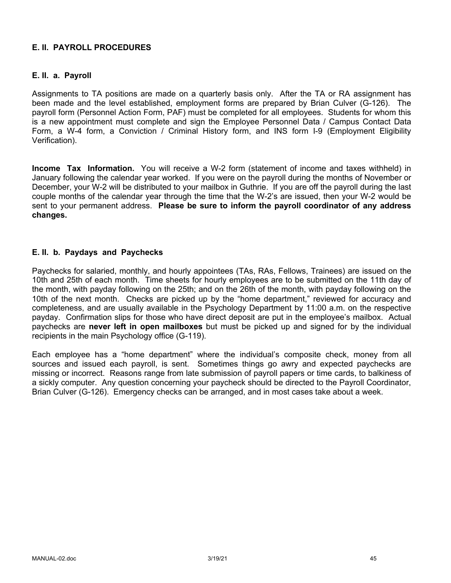# **E. II. PAYROLL PROCEDURES**

# **E. II. a. Payroll**

Assignments to TA positions are made on a quarterly basis only. After the TA or RA assignment has been made and the level established, employment forms are prepared by Brian Culver (G-126). The payroll form (Personnel Action Form, PAF) must be completed for all employees. Students for whom this is a new appointment must complete and sign the Employee Personnel Data / Campus Contact Data Form, a W-4 form, a Conviction / Criminal History form, and INS form I-9 (Employment Eligibility Verification).

**Income Tax Information.** You will receive a W-2 form (statement of income and taxes withheld) in January following the calendar year worked. If you were on the payroll during the months of November or December, your W-2 will be distributed to your mailbox in Guthrie. If you are off the payroll during the last couple months of the calendar year through the time that the W-2's are issued, then your W-2 would be sent to your permanent address. **Please be sure to inform the payroll coordinator of any address changes.**

### **E. II. b. Paydays and Paychecks**

Paychecks for salaried, monthly, and hourly appointees (TAs, RAs, Fellows, Trainees) are issued on the 10th and 25th of each month. Time sheets for hourly employees are to be submitted on the 11th day of the month, with payday following on the 25th; and on the 26th of the month, with payday following on the 10th of the next month. Checks are picked up by the "home department," reviewed for accuracy and completeness, and are usually available in the Psychology Department by 11:00 a.m. on the respective payday. Confirmation slips for those who have direct deposit are put in the employee's mailbox. Actual paychecks are **never left in open mailboxes** but must be picked up and signed for by the individual recipients in the main Psychology office (G-119).

Each employee has a "home department" where the individual's composite check, money from all sources and issued each payroll, is sent. Sometimes things go awry and expected paychecks are missing or incorrect. Reasons range from late submission of payroll papers or time cards, to balkiness of a sickly computer. Any question concerning your paycheck should be directed to the Payroll Coordinator, Brian Culver (G-126). Emergency checks can be arranged, and in most cases take about a week.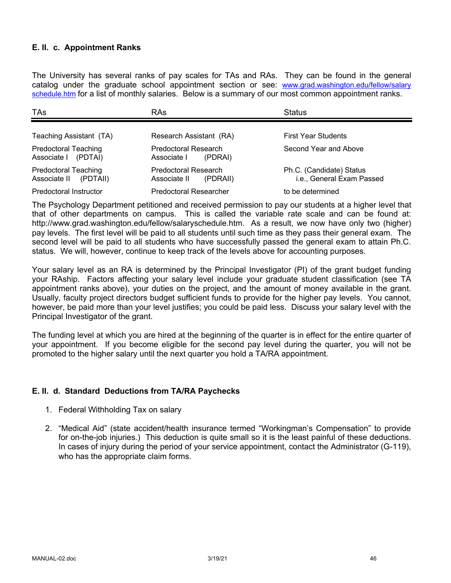# **E. II. c. Appointment Ranks**

The University has several ranks of pay scales for TAs and RAs. They can be found in the general catalog under the graduate school appointment section or see: www.grad.washington.edu/fellow/salary schedule.htm for a list of monthly salaries. Below is a summary of our most common appointment ranks.

| <b>TAs</b>                                              | RAs                                              | <b>Status</b>                                         |
|---------------------------------------------------------|--------------------------------------------------|-------------------------------------------------------|
| Teaching Assistant (TA)                                 | Research Assistant (RA)                          | <b>First Year Students</b>                            |
| <b>Predoctoral Teaching</b><br>Associate I (PDTAI)      | Predoctoral Research<br>Associate I<br>(PDRAI)   | Second Year and Above                                 |
| <b>Predoctoral Teaching</b><br>Associate II<br>(PDTAII) | Predoctoral Research<br>Associate II<br>(PDRAII) | Ph.C. (Candidate) Status<br>i.e., General Exam Passed |
| Predoctoral Instructor                                  | <b>Predoctoral Researcher</b>                    | to be determined                                      |

The Psychology Department petitioned and received permission to pay our students at a higher level that that of other departments on campus. This is called the variable rate scale and can be found at: http://www.grad.washington.edu/fellow/salaryschedule.htm. As a result, we now have only two (higher) pay levels. The first level will be paid to all students until such time as they pass their general exam. The second level will be paid to all students who have successfully passed the general exam to attain Ph.C. status. We will, however, continue to keep track of the levels above for accounting purposes.

Your salary level as an RA is determined by the Principal Investigator (PI) of the grant budget funding your RAship. Factors affecting your salary level include your graduate student classification (see TA appointment ranks above), your duties on the project, and the amount of money available in the grant. Usually, faculty project directors budget sufficient funds to provide for the higher pay levels. You cannot, however, be paid more than your level justifies; you could be paid less. Discuss your salary level with the Principal Investigator of the grant.

The funding level at which you are hired at the beginning of the quarter is in effect for the entire quarter of your appointment. If you become eligible for the second pay level during the quarter, you will not be promoted to the higher salary until the next quarter you hold a TA/RA appointment.

# **E. II. d. Standard Deductions from TA/RA Paychecks**

- 1. Federal Withholding Tax on salary
- 2. "Medical Aid" (state accident/health insurance termed "Workingman's Compensation" to provide for on-the-job injuries.) This deduction is quite small so it is the least painful of these deductions. In cases of injury during the period of your service appointment, contact the Administrator (G-119), who has the appropriate claim forms.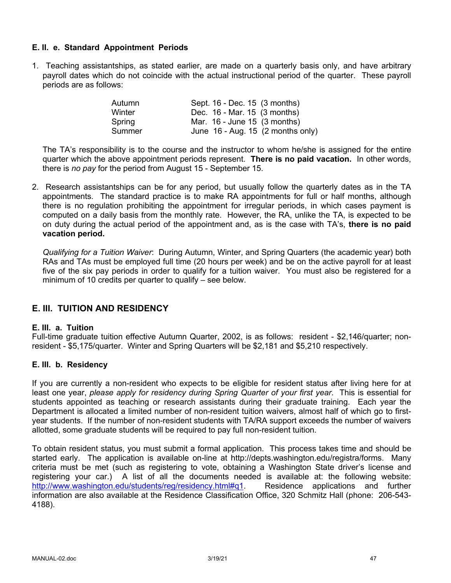# **E. II. e. Standard Appointment Periods**

1. Teaching assistantships, as stated earlier, are made on a quarterly basis only, and have arbitrary payroll dates which do not coincide with the actual instructional period of the quarter. These payroll periods are as follows:

| Autumn | Sept. 16 - Dec. 15 (3 months)                 |
|--------|-----------------------------------------------|
| Winter | Dec. 16 - Mar. 15 (3 months)                  |
| Spring | Mar. 16 - June 15 (3 months)                  |
| Summer | June $16$ - Aug. 15 $(2 \text{ months only})$ |

The TA's responsibility is to the course and the instructor to whom he/she is assigned for the entire quarter which the above appointment periods represent. **There is no paid vacation.** In other words, there is *no pay* for the period from August 15 - September 15.

2. Research assistantships can be for any period, but usually follow the quarterly dates as in the TA appointments. The standard practice is to make RA appointments for full or half months, although there is no regulation prohibiting the appointment for irregular periods, in which cases payment is computed on a daily basis from the monthly rate. However, the RA, unlike the TA, is expected to be on duty during the actual period of the appointment and, as is the case with TA's, **there is no paid vacation period.**

*Qualifying for a Tuition Waiver*: During Autumn, Winter, and Spring Quarters (the academic year) both RAs and TAs must be employed full time (20 hours per week) and be on the active payroll for at least five of the six pay periods in order to qualify for a tuition waiver. You must also be registered for a minimum of 10 credits per quarter to qualify – see below.

# **E. III. TUITION AND RESIDENCY**

### **E. III. a. Tuition**

Full-time graduate tuition effective Autumn Quarter, 2002, is as follows: resident - \$2,146/quarter; nonresident - \$5,175/quarter. Winter and Spring Quarters will be \$2,181 and \$5,210 respectively.

### **E. III. b. Residency**

If you are currently a non-resident who expects to be eligible for resident status after living here for at least one year, *please apply for residency during Spring Quarter of your first year*. This is essential for students appointed as teaching or research assistants during their graduate training. Each year the Department is allocated a limited number of non-resident tuition waivers, almost half of which go to firstyear students. If the number of non-resident students with TA/RA support exceeds the number of waivers allotted, some graduate students will be required to pay full non-resident tuition.

To obtain resident status, you must submit a formal application. This process takes time and should be started early. The application is available on-line at http://depts.washington.edu/registra/forms. Many criteria must be met (such as registering to vote, obtaining a Washington State driver's license and registering your car.) A list of all the documents needed is available at: the following website: http://www.washington.edu/students/reg/residency.html#q1. Residence applications and further information are also available at the Residence Classification Office, 320 Schmitz Hall (phone: 206-543- 4188).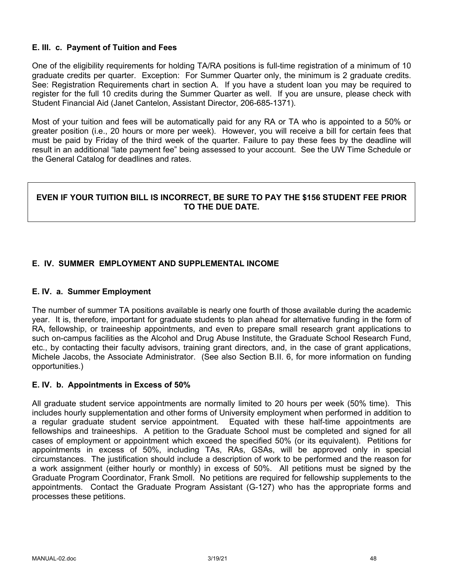# **E. III. c. Payment of Tuition and Fees**

One of the eligibility requirements for holding TA/RA positions is full-time registration of a minimum of 10 graduate credits per quarter. Exception: For Summer Quarter only, the minimum is 2 graduate credits. See: Registration Requirements chart in section A. If you have a student loan you may be required to register for the full 10 credits during the Summer Quarter as well. If you are unsure, please check with Student Financial Aid (Janet Cantelon, Assistant Director, 206-685-1371).

Most of your tuition and fees will be automatically paid for any RA or TA who is appointed to a 50% or greater position (i.e., 20 hours or more per week). However, you will receive a bill for certain fees that must be paid by Friday of the third week of the quarter. Failure to pay these fees by the deadline will result in an additional "late payment fee" being assessed to your account. See the UW Time Schedule or the General Catalog for deadlines and rates.

# **EVEN IF YOUR TUITION BILL IS INCORRECT, BE SURE TO PAY THE \$156 STUDENT FEE PRIOR TO THE DUE DATE.**

# **E. IV. SUMMER EMPLOYMENT AND SUPPLEMENTAL INCOME**

### **E. IV. a. Summer Employment**

The number of summer TA positions available is nearly one fourth of those available during the academic year. It is, therefore, important for graduate students to plan ahead for alternative funding in the form of RA, fellowship, or traineeship appointments, and even to prepare small research grant applications to such on-campus facilities as the Alcohol and Drug Abuse Institute, the Graduate School Research Fund, etc., by contacting their faculty advisors, training grant directors, and, in the case of grant applications, Michele Jacobs, the Associate Administrator. (See also Section B.II. 6, for more information on funding opportunities.)

#### **E. IV. b. Appointments in Excess of 50%**

All graduate student service appointments are normally limited to 20 hours per week (50% time). This includes hourly supplementation and other forms of University employment when performed in addition to a regular graduate student service appointment. Equated with these half-time appointments are fellowships and traineeships. A petition to the Graduate School must be completed and signed for all cases of employment or appointment which exceed the specified 50% (or its equivalent). Petitions for appointments in excess of 50%, including TAs, RAs, GSAs, will be approved only in special circumstances. The justification should include a description of work to be performed and the reason for a work assignment (either hourly or monthly) in excess of 50%. All petitions must be signed by the Graduate Program Coordinator, Frank Smoll. No petitions are required for fellowship supplements to the appointments. Contact the Graduate Program Assistant (G-127) who has the appropriate forms and processes these petitions.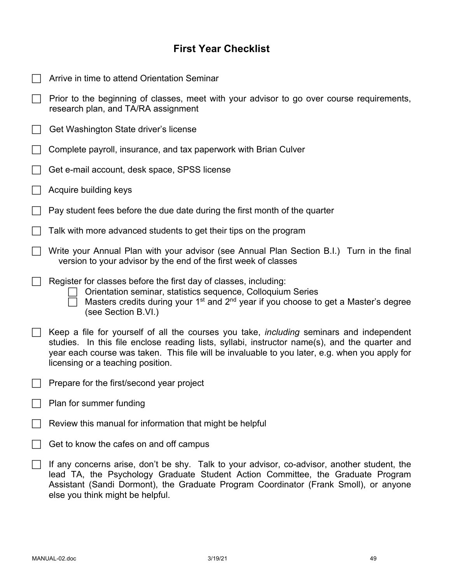# **First Year Checklist**

| Arrive in time to attend Orientation Seminar                                                                                                                                                                                                                                                                                            |
|-----------------------------------------------------------------------------------------------------------------------------------------------------------------------------------------------------------------------------------------------------------------------------------------------------------------------------------------|
| Prior to the beginning of classes, meet with your advisor to go over course requirements,<br>research plan, and TA/RA assignment                                                                                                                                                                                                        |
| Get Washington State driver's license                                                                                                                                                                                                                                                                                                   |
| Complete payroll, insurance, and tax paperwork with Brian Culver                                                                                                                                                                                                                                                                        |
| Get e-mail account, desk space, SPSS license                                                                                                                                                                                                                                                                                            |
| Acquire building keys                                                                                                                                                                                                                                                                                                                   |
| Pay student fees before the due date during the first month of the quarter                                                                                                                                                                                                                                                              |
| Talk with more advanced students to get their tips on the program                                                                                                                                                                                                                                                                       |
| Write your Annual Plan with your advisor (see Annual Plan Section B.I.) Turn in the final<br>version to your advisor by the end of the first week of classes                                                                                                                                                                            |
| Register for classes before the first day of classes, including:<br>Orientation seminar, statistics sequence, Colloquium Series<br>Masters credits during your 1 <sup>st</sup> and 2 <sup>nd</sup> year if you choose to get a Master's degree<br>(see Section B.VI.)                                                                   |
| Keep a file for yourself of all the courses you take, <i>including</i> seminars and independent<br>studies. In this file enclose reading lists, syllabi, instructor name(s), and the quarter and<br>year each course was taken. This file will be invaluable to you later, e.g. when you apply for<br>licensing or a teaching position. |
| Prepare for the first/second year project                                                                                                                                                                                                                                                                                               |
| Plan for summer funding                                                                                                                                                                                                                                                                                                                 |
| Review this manual for information that might be helpful                                                                                                                                                                                                                                                                                |
| Get to know the cafes on and off campus                                                                                                                                                                                                                                                                                                 |
| If any concerns arise, don't be shy. Talk to your advisor, co-advisor, another student, the<br>lead TA, the Psychology Graduate Student Action Committee, the Graduate Program<br>Assistant (Sandi Dormont), the Graduate Program Coordinator (Frank Smoll), or anyone<br>else you think might be helpful.                              |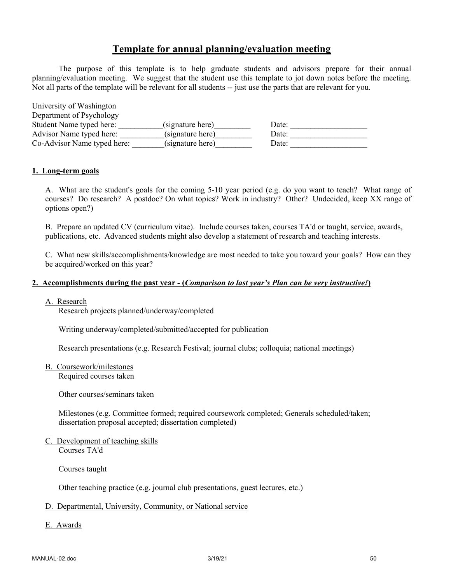# **Template for annual planning/evaluation meeting**

The purpose of this template is to help graduate students and advisors prepare for their annual planning/evaluation meeting. We suggest that the student use this template to jot down notes before the meeting. Not all parts of the template will be relevant for all students -- just use the parts that are relevant for you.

| University of Washington    |                  |       |
|-----------------------------|------------------|-------|
| Department of Psychology    |                  |       |
| Student Name typed here:    | (signature here) | Date: |
| Advisor Name typed here:    | (signature here) | Date: |
| Co-Advisor Name typed here: | (signature here) | Date: |

#### **1. Long-term goals**

A. What are the student's goals for the coming 5-10 year period (e.g. do you want to teach? What range of courses? Do research? A postdoc? On what topics? Work in industry? Other? Undecided, keep XX range of options open?)

B. Prepare an updated CV (curriculum vitae). Include courses taken, courses TA'd or taught, service, awards, publications, etc. Advanced students might also develop a statement of research and teaching interests.

C. What new skills/accomplishments/knowledge are most needed to take you toward your goals? How can they be acquired/worked on this year?

### **2. Accomplishments during the past year - (***Comparison to last year's Plan can be very instructive!***)**

#### A. Research

Research projects planned/underway/completed

Writing underway/completed/submitted/accepted for publication

Research presentations (e.g. Research Festival; journal clubs; colloquia; national meetings)

B. Coursework/milestones

Required courses taken

Other courses/seminars taken

Milestones (e.g. Committee formed; required coursework completed; Generals scheduled/taken; dissertation proposal accepted; dissertation completed)

C. Development of teaching skills Courses TA'd

Courses taught

Other teaching practice (e.g. journal club presentations, guest lectures, etc.)

### D. Departmental, University, Community, or National service

E. Awards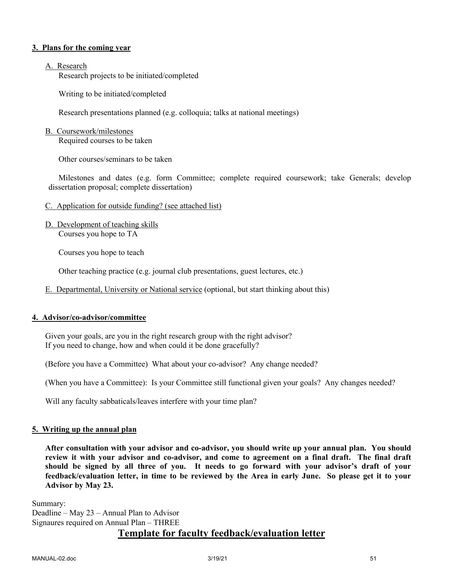### **3. Plans for the coming year**

### A. Research

Research projects to be initiated/completed

Writing to be initiated/completed

Research presentations planned (e.g. colloquia; talks at national meetings)

### B. Coursework/milestones

Required courses to be taken

Other courses/seminars to be taken

Milestones and dates (e.g. form Committee; complete required coursework; take Generals; develop dissertation proposal; complete dissertation)

### C. Application for outside funding? (see attached list)

D. Development of teaching skills Courses you hope to TA

Courses you hope to teach

Other teaching practice (e.g. journal club presentations, guest lectures, etc.)

E. Departmental, University or National service (optional, but start thinking about this)

### **4. Advisor/co-advisor/committee**

Given your goals, are you in the right research group with the right advisor? If you need to change, how and when could it be done gracefully?

(Before you have a Committee) What about your co-advisor? Any change needed?

(When you have a Committee): Is your Committee still functional given your goals? Any changes needed?

Will any faculty sabbaticals/leaves interfere with your time plan?

#### **5. Writing up the annual plan**

**After consultation with your advisor and co-advisor, you should write up your annual plan. You should review it with your advisor and co-advisor, and come to agreement on a final draft. The final draft should be signed by all three of you. It needs to go forward with your advisor's draft of your feedback/evaluation letter, in time to be reviewed by the Area in early June. So please get it to your Advisor by May 23.**

Summary: Deadline – May 23 – Annual Plan to Advisor Signaures required on Annual Plan – THREE **Template for faculty feedback/evaluation letter**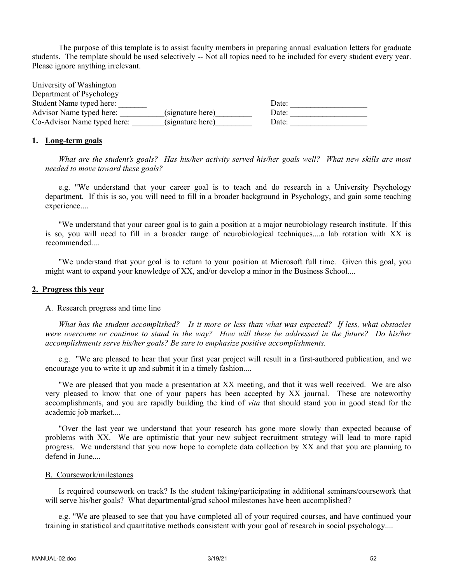The purpose of this template is to assist faculty members in preparing annual evaluation letters for graduate students. The template should be used selectively -- Not all topics need to be included for every student every year. Please ignore anything irrelevant.

| University of Washington    |                  |       |  |
|-----------------------------|------------------|-------|--|
| Department of Psychology    |                  |       |  |
| Student Name typed here:    |                  | Date: |  |
| Advisor Name typed here:    | (signature here) | Date: |  |
| Co-Advisor Name typed here: | (signature here) | Date: |  |

#### **1. Long-term goals**

*What are the student's goals? Has his/her activity served his/her goals well? What new skills are most needed to move toward these goals?*

e.g. "We understand that your career goal is to teach and do research in a University Psychology department. If this is so, you will need to fill in a broader background in Psychology, and gain some teaching experience....

"We understand that your career goal is to gain a position at a major neurobiology research institute. If this is so, you will need to fill in a broader range of neurobiological techniques....a lab rotation with XX is recommended....

"We understand that your goal is to return to your position at Microsoft full time. Given this goal, you might want to expand your knowledge of XX, and/or develop a minor in the Business School....

#### **2. Progress this year**

#### A. Research progress and time line

*What has the student accomplished? Is it more or less than what was expected? If less, what obstacles were overcome or continue to stand in the way? How will these be addressed in the future? Do his/her accomplishments serve his/her goals? Be sure to emphasize positive accomplishments.*

e.g. "We are pleased to hear that your first year project will result in a first-authored publication, and we encourage you to write it up and submit it in a timely fashion....

"We are pleased that you made a presentation at XX meeting, and that it was well received. We are also very pleased to know that one of your papers has been accepted by XX journal. These are noteworthy accomplishments, and you are rapidly building the kind of *vita* that should stand you in good stead for the academic job market....

"Over the last year we understand that your research has gone more slowly than expected because of problems with XX. We are optimistic that your new subject recruitment strategy will lead to more rapid progress. We understand that you now hope to complete data collection by XX and that you are planning to defend in June....

#### B. Coursework/milestones

Is required coursework on track? Is the student taking/participating in additional seminars/coursework that will serve his/her goals? What departmental/grad school milestones have been accomplished?

e.g. "We are pleased to see that you have completed all of your required courses, and have continued your training in statistical and quantitative methods consistent with your goal of research in social psychology....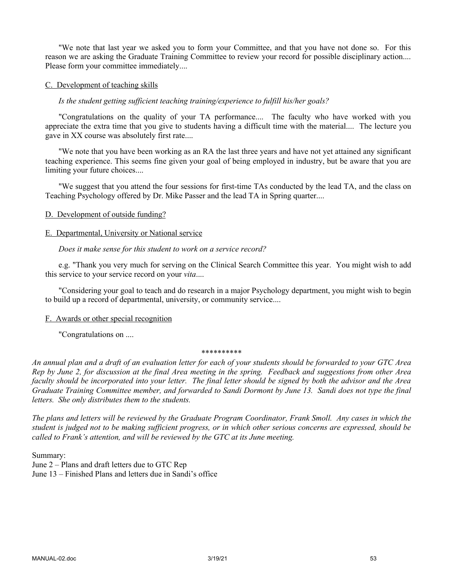"We note that last year we asked you to form your Committee, and that you have not done so. For this reason we are asking the Graduate Training Committee to review your record for possible disciplinary action.... Please form your committee immediately....

### C. Development of teaching skills

### *Is the student getting sufficient teaching training/experience to fulfill his/her goals?*

"Congratulations on the quality of your TA performance.... The faculty who have worked with you appreciate the extra time that you give to students having a difficult time with the material.... The lecture you gave in XX course was absolutely first rate....

"We note that you have been working as an RA the last three years and have not yet attained any significant teaching experience. This seems fine given your goal of being employed in industry, but be aware that you are limiting your future choices....

"We suggest that you attend the four sessions for first-time TAs conducted by the lead TA, and the class on Teaching Psychology offered by Dr. Mike Passer and the lead TA in Spring quarter....

### D. Development of outside funding?

### E. Departmental, University or National service

### *Does it make sense for this student to work on a service record?*

e.g. "Thank you very much for serving on the Clinical Search Committee this year. You might wish to add this service to your service record on your *vita*....

"Considering your goal to teach and do research in a major Psychology department, you might wish to begin to build up a record of departmental, university, or community service....

#### F. Awards or other special recognition

"Congratulations on ....

#### \*\*\*\*\*\*\*\*\*\*

*An annual plan and a draft of an evaluation letter for each of your students should be forwarded to your GTC Area Rep by June 2, for discussion at the final Area meeting in the spring. Feedback and suggestions from other Area faculty should be incorporated into your letter. The final letter should be signed by both the advisor and the Area Graduate Training Committee member, and forwarded to Sandi Dormont by June 13. Sandi does not type the final letters. She only distributes them to the students.*

*The plans and letters will be reviewed by the Graduate Program Coordinator, Frank Smoll. Any cases in which the student is judged not to be making sufficient progress, or in which other serious concerns are expressed, should be called to Frank's attention, and will be reviewed by the GTC at its June meeting.*

Summary:

June 2 – Plans and draft letters due to GTC Rep June 13 – Finished Plans and letters due in Sandi's office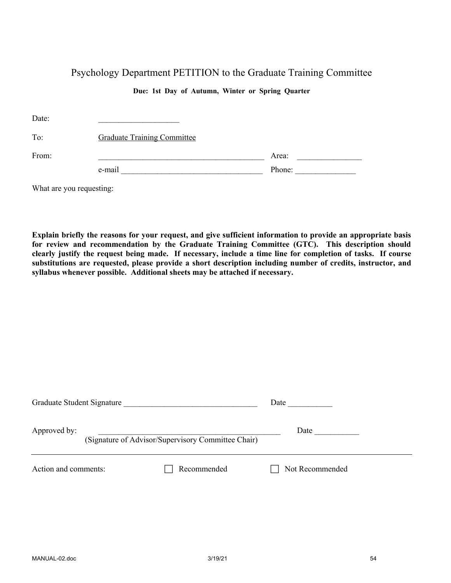# Psychology Department PETITION to the Graduate Training Committee

### **Due: 1st Day of Autumn, Winter or Spring Quarter**

| Date:                    |                                    |        |  |
|--------------------------|------------------------------------|--------|--|
| To:                      | <b>Graduate Training Committee</b> |        |  |
| From:                    |                                    | Area:  |  |
|                          | e-mail                             | Phone: |  |
| What are you requesting: |                                    |        |  |

**Explain briefly the reasons for your request, and give sufficient information to provide an appropriate basis for review and recommendation by the Graduate Training Committee (GTC). This description should clearly justify the request being made. If necessary, include a time line for completion of tasks. If course substitutions are requested, please provide a short description including number of credits, instructor, and syllabus whenever possible. Additional sheets may be attached if necessary.**

| Graduate Student Signature |                                                    | Date            |
|----------------------------|----------------------------------------------------|-----------------|
| Approved by:               | (Signature of Advisor/Supervisory Committee Chair) | Date            |
| Action and comments:       | Recommended                                        | Not Recommended |